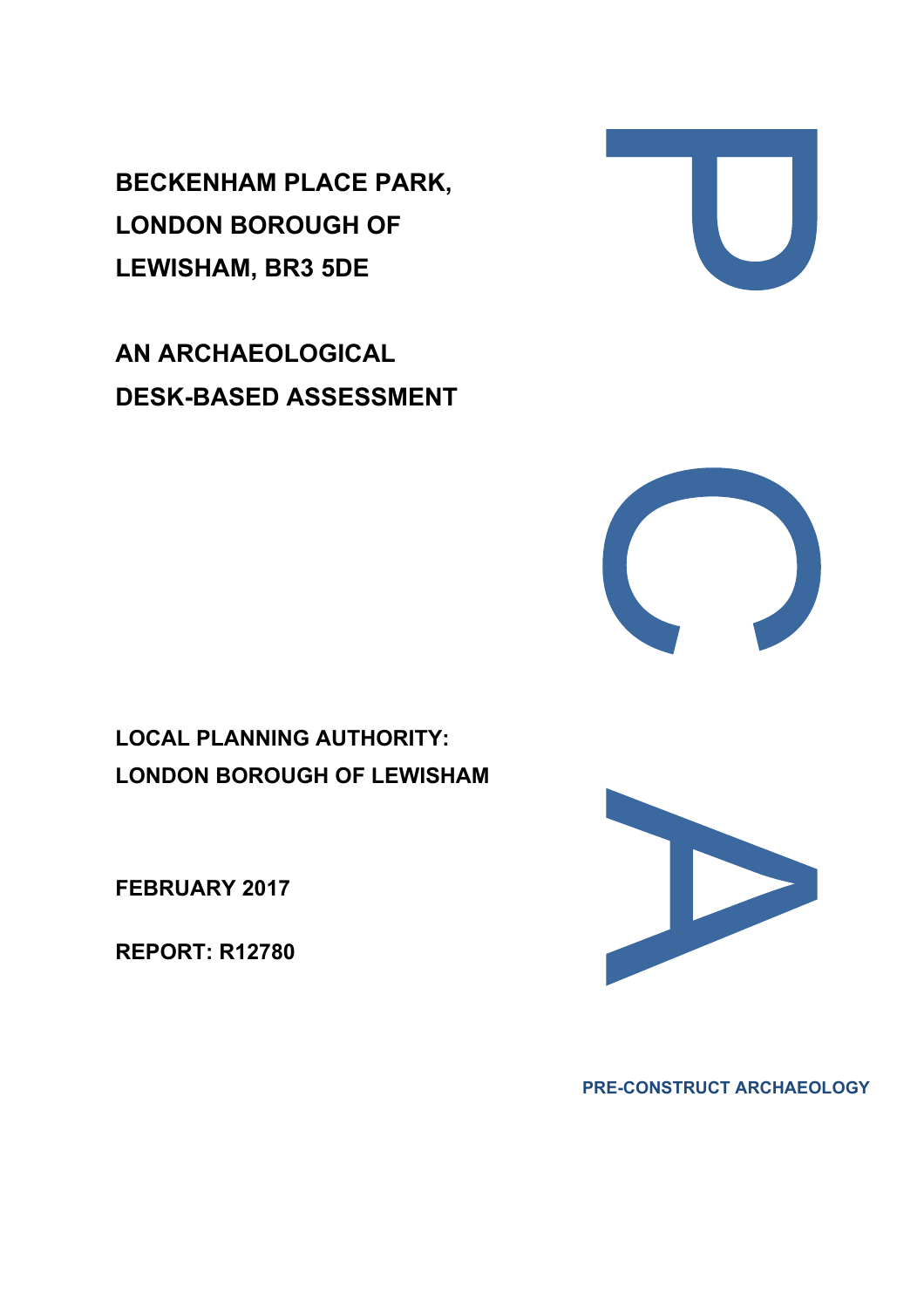**BECKENHAM PLACE PARK, LONDON BOROUGH OF LEWISHAM, BR3 5DE** 

**AN ARCHAEOLOGICAL DESK-BASED ASSESSMENT** 



**FEBRUARY 2017**

**REPORT: R12780** 







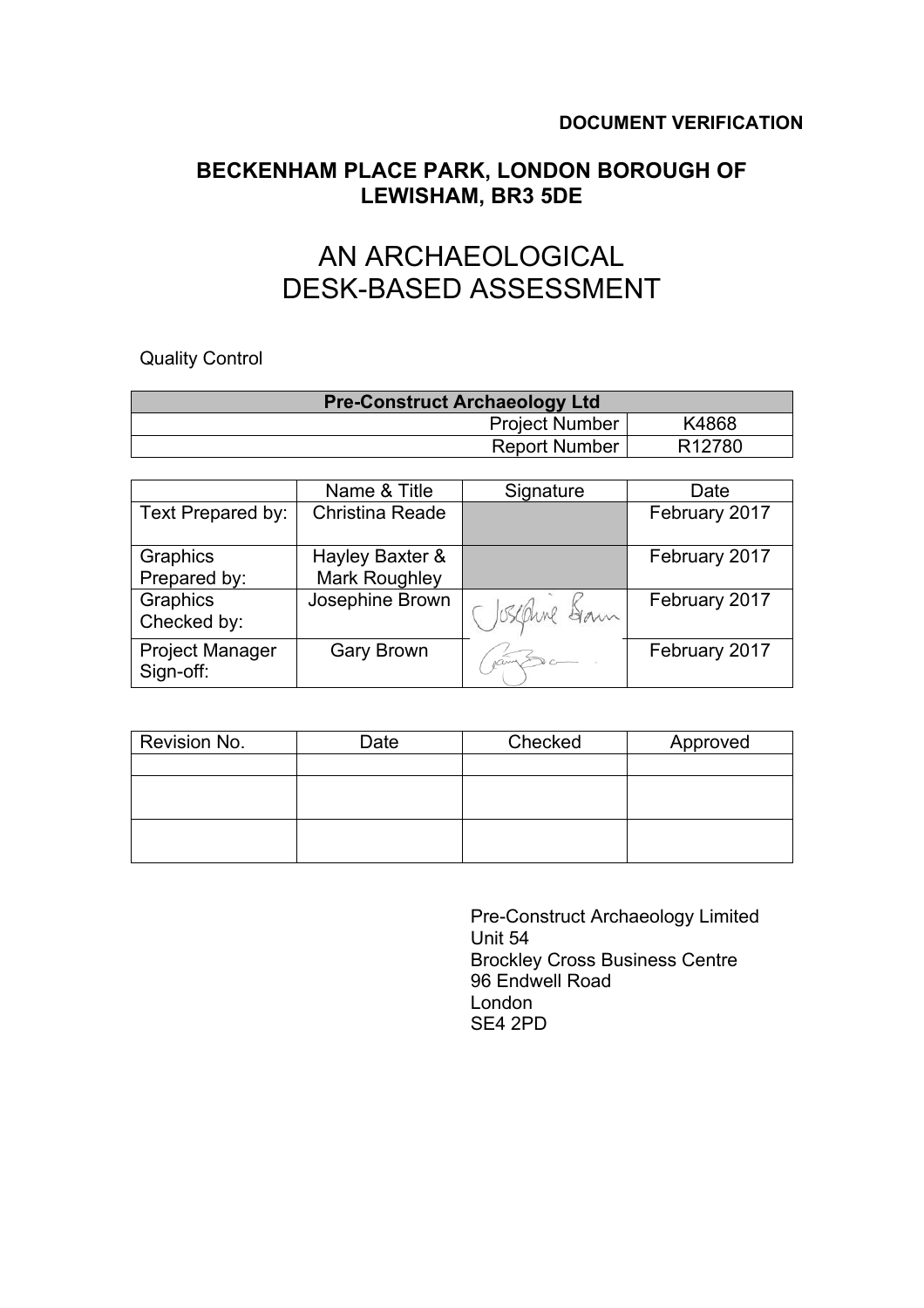# **BECKENHAM PLACE PARK, LONDON BOROUGH OF LEWISHAM, BR3 5DE**

# AN ARCHAEOLOGICAL DESK-BASED ASSESSMENT

Quality Control

| <b>Pre-Construct Archaeology Ltd</b> |                    |
|--------------------------------------|--------------------|
| <b>Project Number</b>                | K4868              |
| <b>Report Number</b>                 | R <sub>12780</sub> |

|                                     | Name & Title         | Signature     | Date          |
|-------------------------------------|----------------------|---------------|---------------|
| Text Prepared by:                   | Christina Reade      |               | February 2017 |
| Graphics                            | Hayley Baxter &      |               | February 2017 |
| Prepared by:                        | <b>Mark Roughley</b> |               |               |
| Graphics<br>Checked by:             | Josephine Brown      | ( Iseanne Sam | February 2017 |
| <b>Project Manager</b><br>Sign-off: | <b>Gary Brown</b>    |               | February 2017 |

| Revision No. | Date | Checked | Approved |
|--------------|------|---------|----------|
|              |      |         |          |
|              |      |         |          |
|              |      |         |          |
|              |      |         |          |
|              |      |         |          |

 Pre-Construct Archaeology Limited Unit 54 Brockley Cross Business Centre 96 Endwell Road London SE4 2PD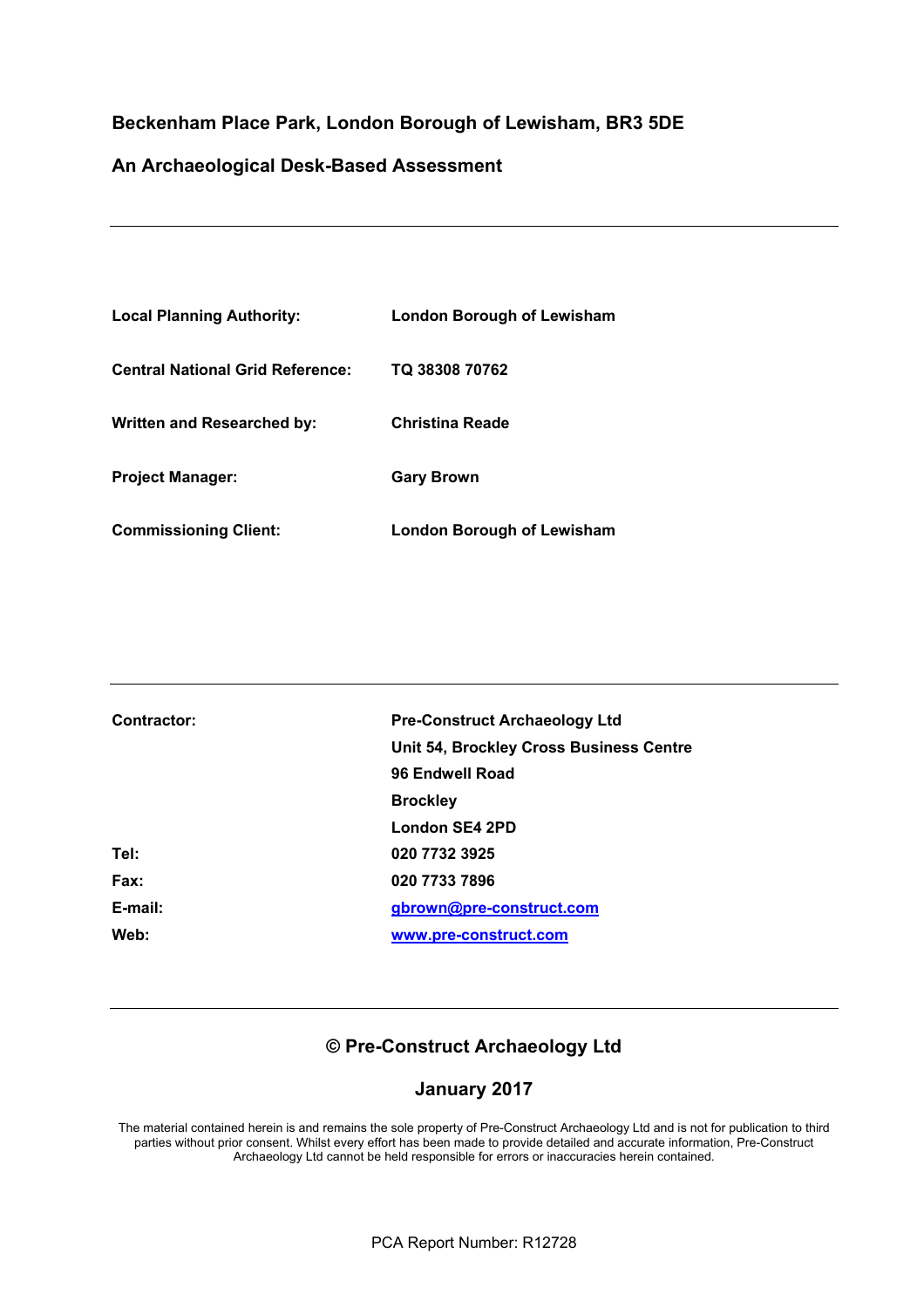## **Beckenham Place Park, London Borough of Lewisham, BR3 5DE**

### **An Archaeological Desk-Based Assessment**

| <b>Local Planning Authority:</b>        | London Borough of Lewisham |
|-----------------------------------------|----------------------------|
| <b>Central National Grid Reference:</b> | TQ 38308 70762             |
| Written and Researched by:              | <b>Christina Reade</b>     |
| <b>Project Manager:</b>                 | <b>Gary Brown</b>          |
| <b>Commissioning Client:</b>            | London Borough of Lewisham |

| Contractor: | <b>Pre-Construct Archaeology Ltd</b>    |
|-------------|-----------------------------------------|
|             | Unit 54, Brockley Cross Business Centre |
|             | 96 Endwell Road                         |
|             | <b>Brockley</b>                         |
|             | London SE4 2PD                          |
| Tel:        | 020 7732 3925                           |
| Fax:        | 020 7733 7896                           |
| E-mail:     | gbrown@pre-construct.com                |
| Web:        | www.pre-construct.com                   |

# **© Pre-Construct Archaeology Ltd**

### **January 2017**

The material contained herein is and remains the sole property of Pre-Construct Archaeology Ltd and is not for publication to third parties without prior consent. Whilst every effort has been made to provide detailed and accurate information, Pre-Construct Archaeology Ltd cannot be held responsible for errors or inaccuracies herein contained.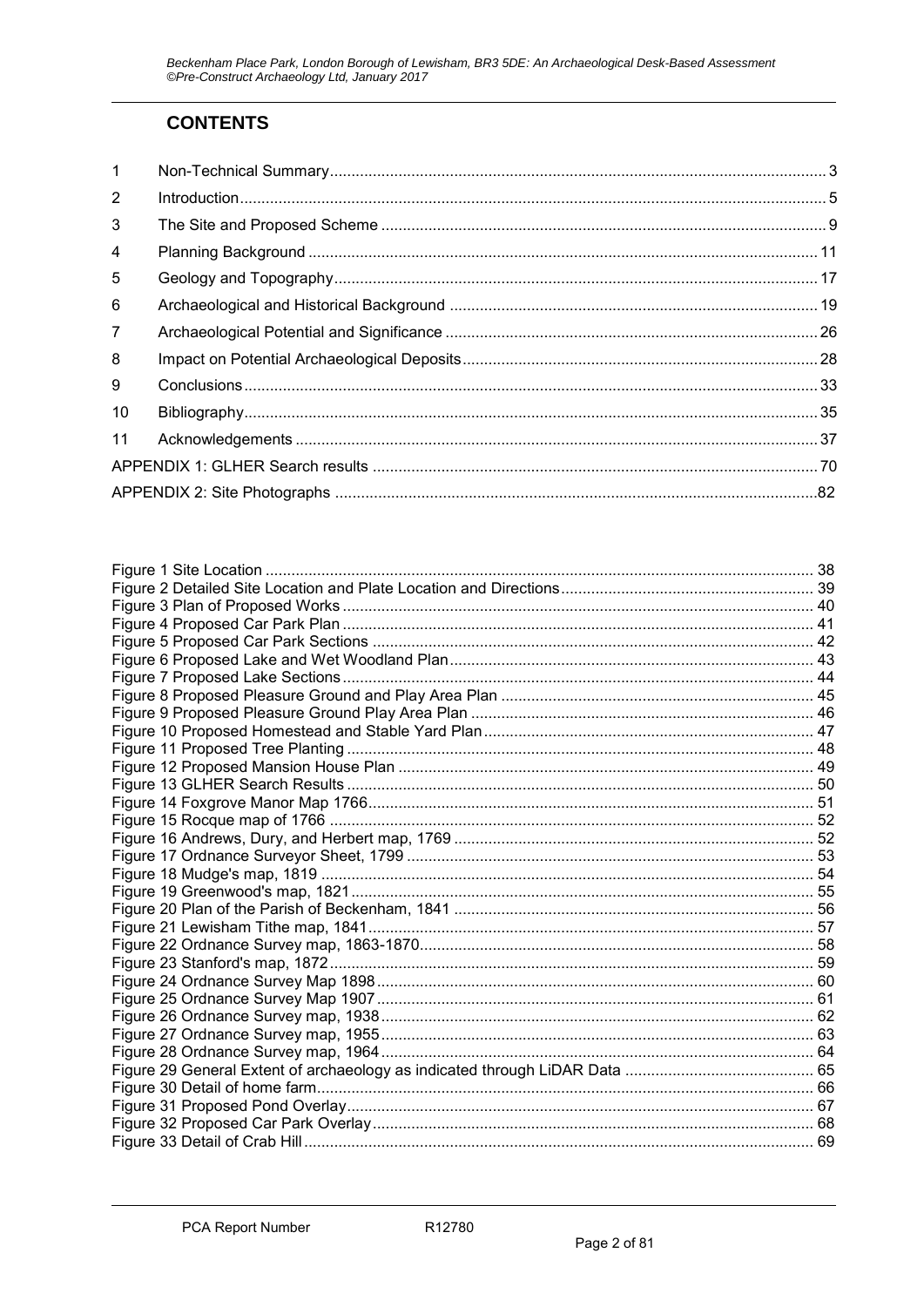# **CONTENTS**

| $\mathbf{1}$   |  |
|----------------|--|
| 2              |  |
| 3              |  |
| $\overline{4}$ |  |
| 5              |  |
| 6              |  |
| $\overline{7}$ |  |
| 8              |  |
| 9              |  |
| 10             |  |
| 11             |  |
|                |  |
|                |  |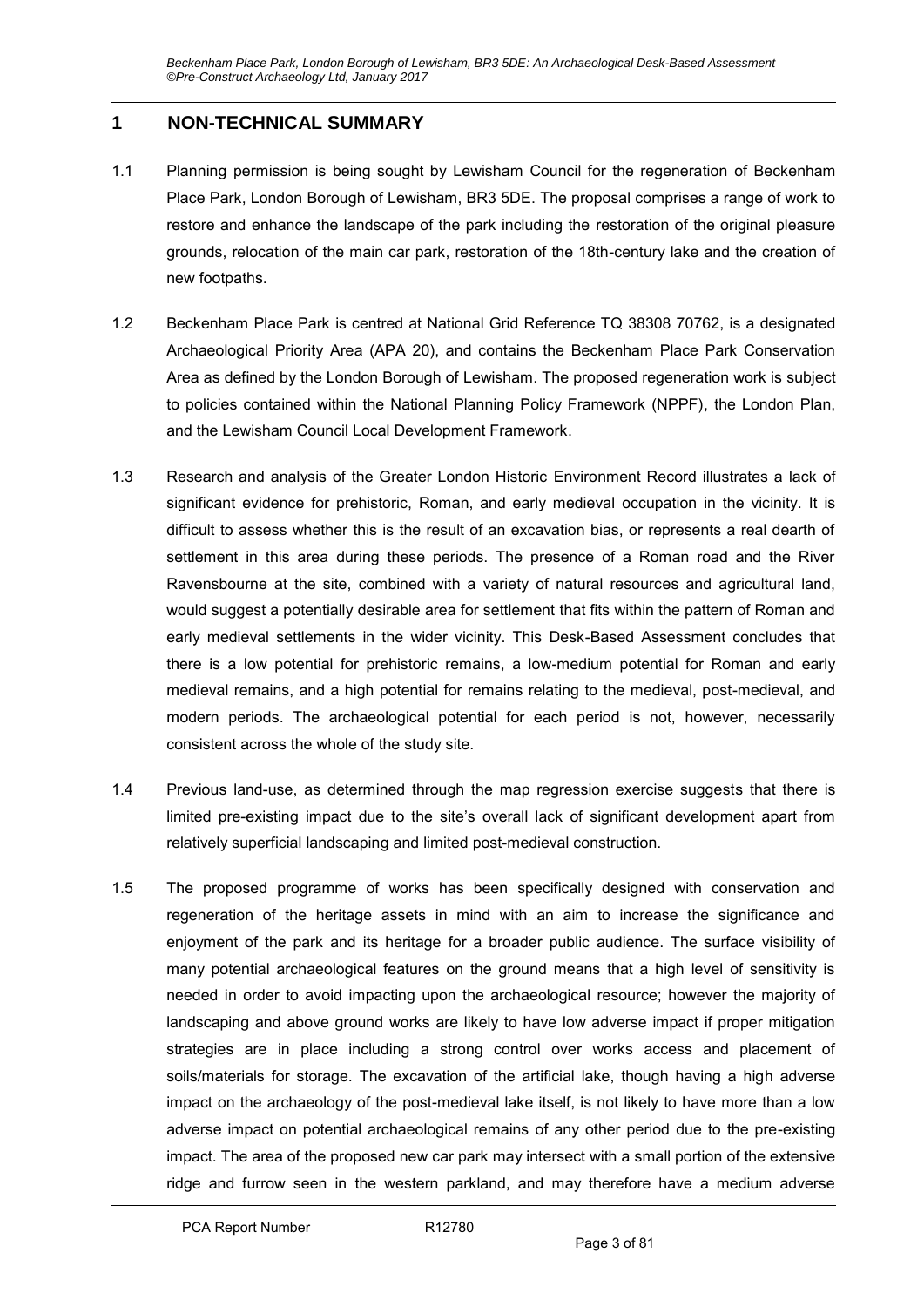# **1 NON-TECHNICAL SUMMARY**

- 1.1 Planning permission is being sought by Lewisham Council for the regeneration of Beckenham Place Park, London Borough of Lewisham, BR3 5DE. The proposal comprises a range of work to restore and enhance the landscape of the park including the restoration of the original pleasure grounds, relocation of the main car park, restoration of the 18th-century lake and the creation of new footpaths.
- 1.2 Beckenham Place Park is centred at National Grid Reference TQ 38308 70762, is a designated Archaeological Priority Area (APA 20), and contains the Beckenham Place Park Conservation Area as defined by the London Borough of Lewisham. The proposed regeneration work is subject to policies contained within the National Planning Policy Framework (NPPF), the London Plan, and the Lewisham Council Local Development Framework.
- 1.3 Research and analysis of the Greater London Historic Environment Record illustrates a lack of significant evidence for prehistoric, Roman, and early medieval occupation in the vicinity. It is difficult to assess whether this is the result of an excavation bias, or represents a real dearth of settlement in this area during these periods. The presence of a Roman road and the River Ravensbourne at the site, combined with a variety of natural resources and agricultural land, would suggest a potentially desirable area for settlement that fits within the pattern of Roman and early medieval settlements in the wider vicinity. This Desk-Based Assessment concludes that there is a low potential for prehistoric remains, a low-medium potential for Roman and early medieval remains, and a high potential for remains relating to the medieval, post-medieval, and modern periods. The archaeological potential for each period is not, however, necessarily consistent across the whole of the study site.
- 1.4 Previous land-use, as determined through the map regression exercise suggests that there is limited pre-existing impact due to the site's overall lack of significant development apart from relatively superficial landscaping and limited post-medieval construction.
- 1.5 The proposed programme of works has been specifically designed with conservation and regeneration of the heritage assets in mind with an aim to increase the significance and enjoyment of the park and its heritage for a broader public audience. The surface visibility of many potential archaeological features on the ground means that a high level of sensitivity is needed in order to avoid impacting upon the archaeological resource; however the majority of landscaping and above ground works are likely to have low adverse impact if proper mitigation strategies are in place including a strong control over works access and placement of soils/materials for storage. The excavation of the artificial lake, though having a high adverse impact on the archaeology of the post-medieval lake itself, is not likely to have more than a low adverse impact on potential archaeological remains of any other period due to the pre-existing impact. The area of the proposed new car park may intersect with a small portion of the extensive ridge and furrow seen in the western parkland, and may therefore have a medium adverse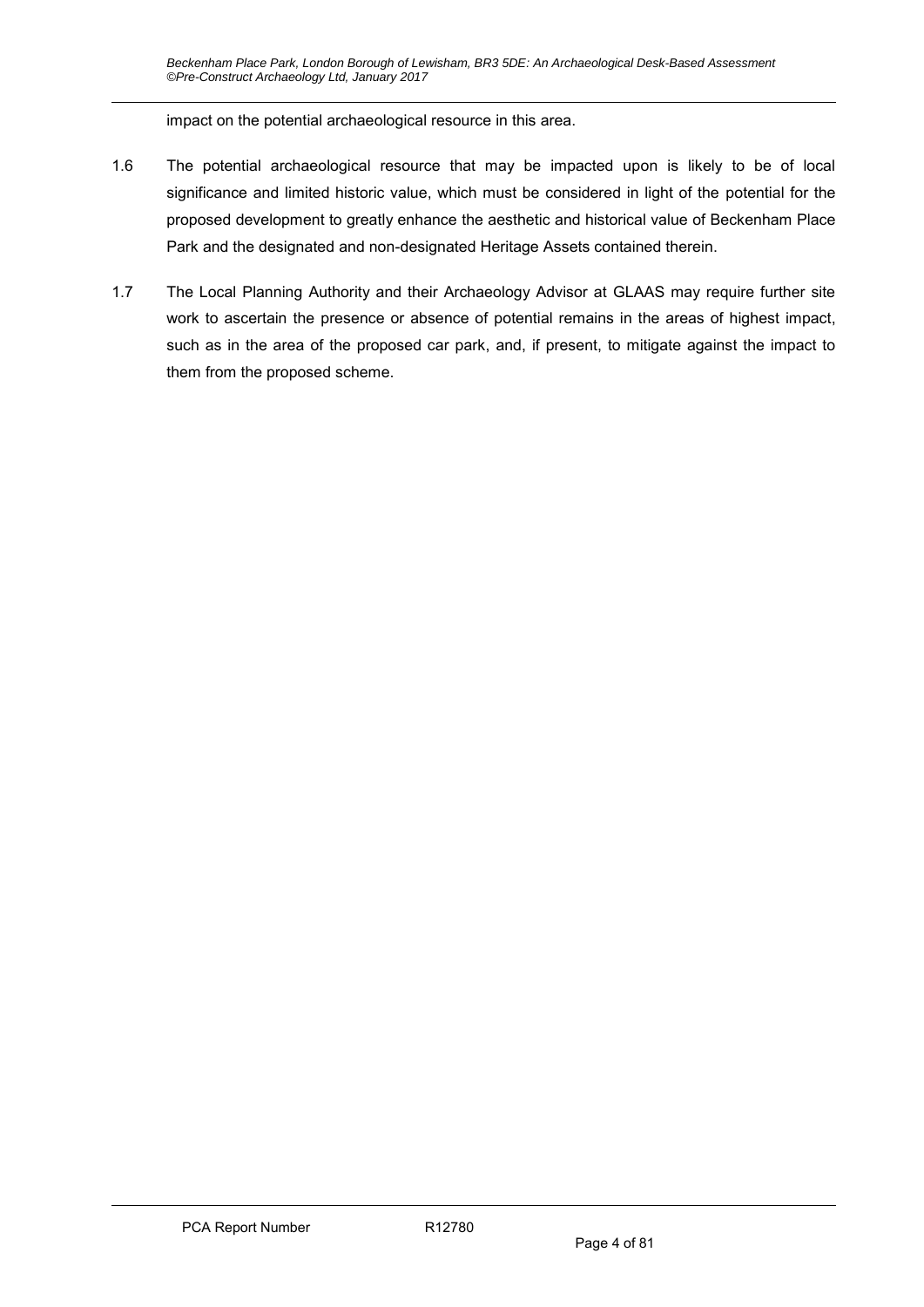impact on the potential archaeological resource in this area.

- 1.6 The potential archaeological resource that may be impacted upon is likely to be of local significance and limited historic value, which must be considered in light of the potential for the proposed development to greatly enhance the aesthetic and historical value of Beckenham Place Park and the designated and non-designated Heritage Assets contained therein.
- 1.7 The Local Planning Authority and their Archaeology Advisor at GLAAS may require further site work to ascertain the presence or absence of potential remains in the areas of highest impact, such as in the area of the proposed car park, and, if present, to mitigate against the impact to them from the proposed scheme.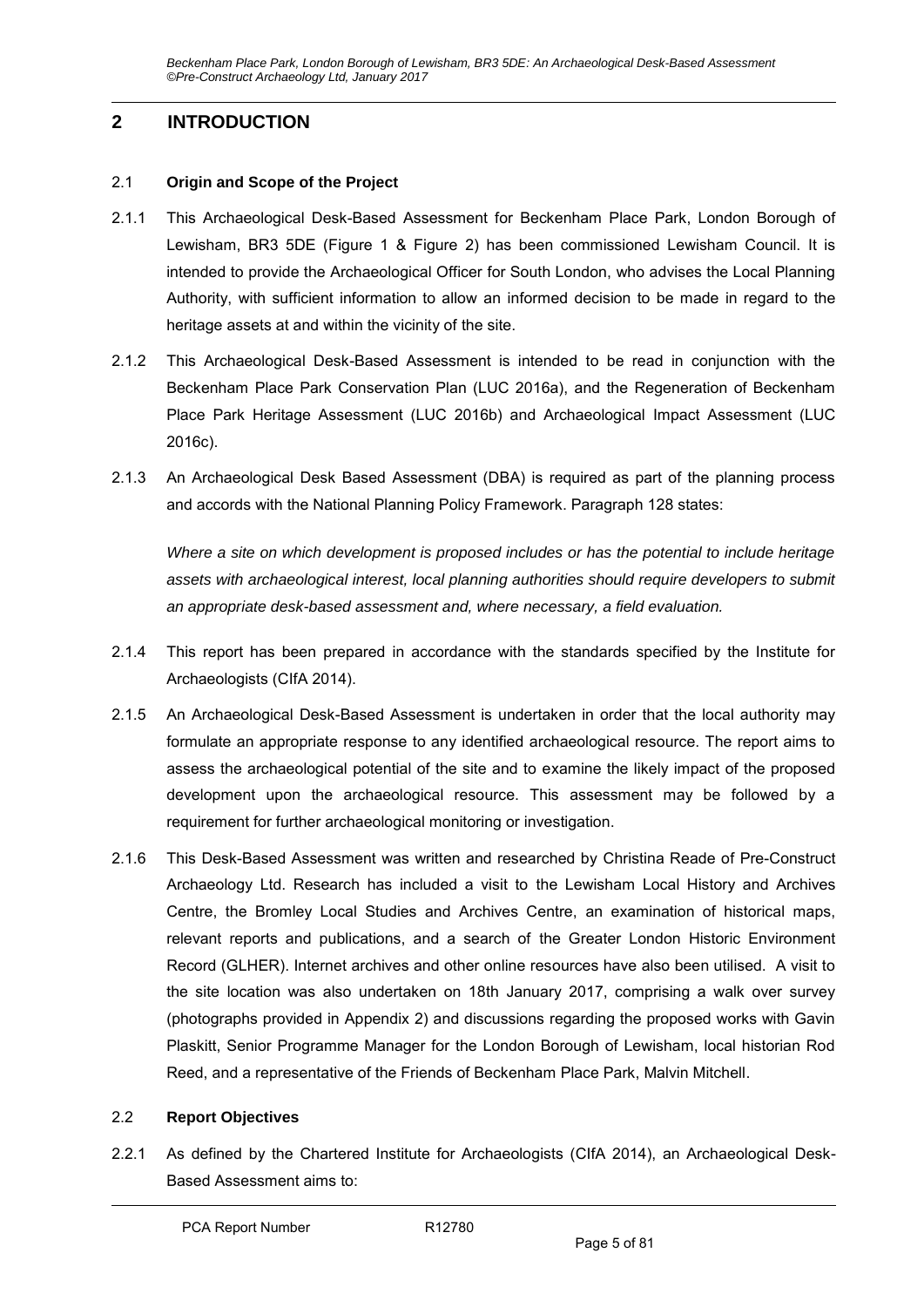# **2 INTRODUCTION**

#### 2.1 **Origin and Scope of the Project**

- 2.1.1 This Archaeological Desk-Based Assessment for Beckenham Place Park, London Borough of Lewisham, BR3 5DE (Figure 1 & Figure 2) has been commissioned Lewisham Council. It is intended to provide the Archaeological Officer for South London, who advises the Local Planning Authority, with sufficient information to allow an informed decision to be made in regard to the heritage assets at and within the vicinity of the site.
- 2.1.2 This Archaeological Desk-Based Assessment is intended to be read in conjunction with the Beckenham Place Park Conservation Plan (LUC 2016a), and the Regeneration of Beckenham Place Park Heritage Assessment (LUC 2016b) and Archaeological Impact Assessment (LUC 2016c).
- 2.1.3 An Archaeological Desk Based Assessment (DBA) is required as part of the planning process and accords with the National Planning Policy Framework. Paragraph 128 states:

*Where a site on which development is proposed includes or has the potential to include heritage assets with archaeological interest, local planning authorities should require developers to submit an appropriate desk-based assessment and, where necessary, a field evaluation.* 

- 2.1.4 This report has been prepared in accordance with the standards specified by the Institute for Archaeologists (CIfA 2014).
- 2.1.5 An Archaeological Desk-Based Assessment is undertaken in order that the local authority may formulate an appropriate response to any identified archaeological resource. The report aims to assess the archaeological potential of the site and to examine the likely impact of the proposed development upon the archaeological resource. This assessment may be followed by a requirement for further archaeological monitoring or investigation.
- 2.1.6 This Desk-Based Assessment was written and researched by Christina Reade of Pre-Construct Archaeology Ltd. Research has included a visit to the Lewisham Local History and Archives Centre, the Bromley Local Studies and Archives Centre, an examination of historical maps, relevant reports and publications, and a search of the Greater London Historic Environment Record (GLHER). Internet archives and other online resources have also been utilised. A visit to the site location was also undertaken on 18th January 2017, comprising a walk over survey (photographs provided in Appendix 2) and discussions regarding the proposed works with Gavin Plaskitt, Senior Programme Manager for the London Borough of Lewisham, local historian Rod Reed, and a representative of the Friends of Beckenham Place Park, Malvin Mitchell.

### 2.2 **Report Objectives**

2.2.1 As defined by the Chartered Institute for Archaeologists (CIfA 2014), an Archaeological Desk-Based Assessment aims to: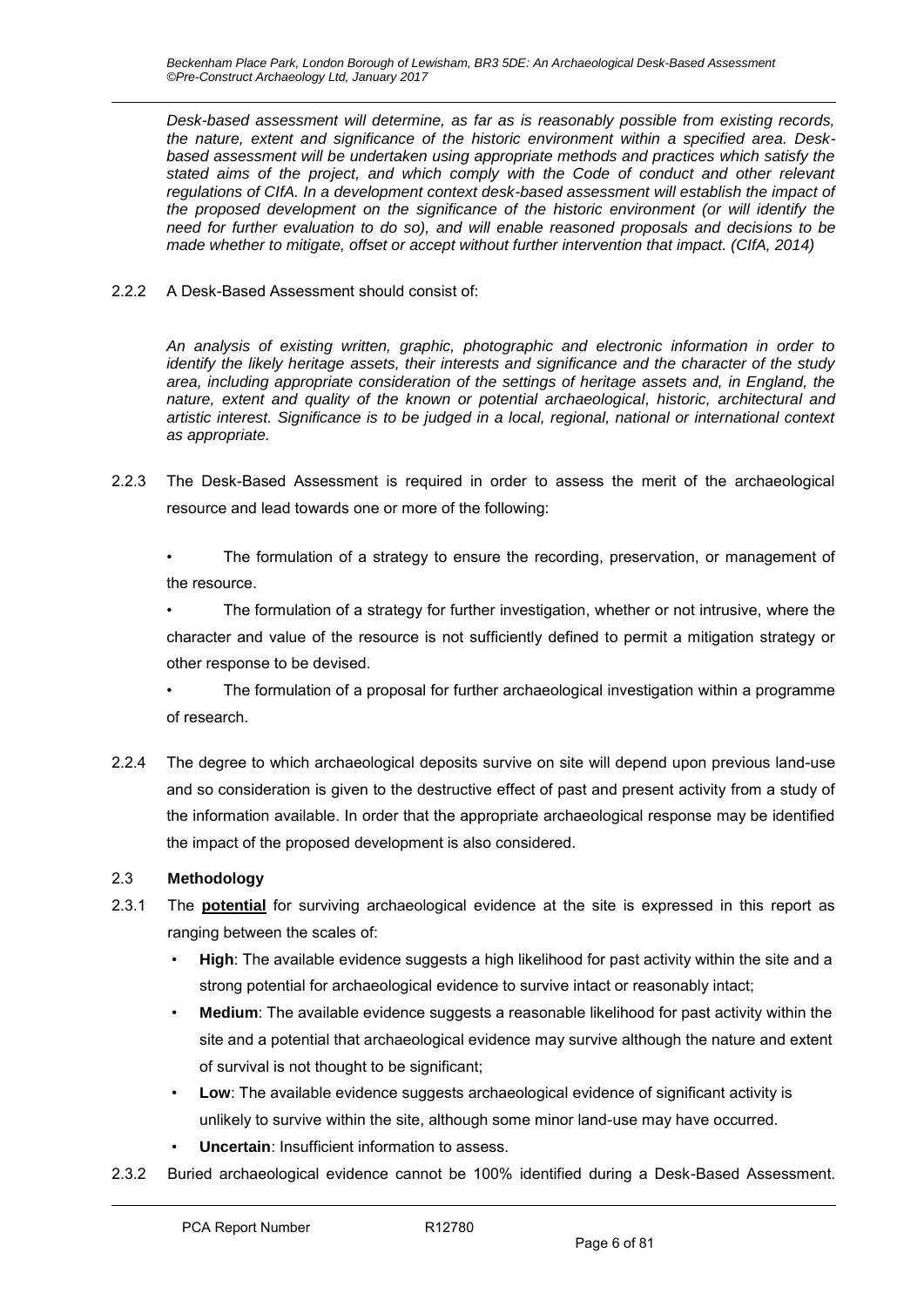*Desk-based assessment will determine, as far as is reasonably possible from existing records, the nature, extent and significance of the historic environment within a specified area. Deskbased assessment will be undertaken using appropriate methods and practices which satisfy the stated aims of the project, and which comply with the Code of conduct and other relevant*  regulations of CIfA. In a development context desk-based assessment will establish the impact of *the proposed development on the significance of the historic environment (or will identify the need for further evaluation to do so), and will enable reasoned proposals and decisions to be made whether to mitigate, offset or accept without further intervention that impact. (CIfA, 2014)* 

2.2.2 A Desk-Based Assessment should consist of:

*An analysis of existing written, graphic, photographic and electronic information in order to identify the likely heritage assets, their interests and significance and the character of the study area, including appropriate consideration of the settings of heritage assets and, in England, the nature, extent and quality of the known or potential archaeological, historic, architectural and artistic interest. Significance is to be judged in a local, regional, national or international context as appropriate.* 

2.2.3 The Desk-Based Assessment is required in order to assess the merit of the archaeological resource and lead towards one or more of the following:

The formulation of a strategy to ensure the recording, preservation, or management of the resource.

The formulation of a strategy for further investigation, whether or not intrusive, where the character and value of the resource is not sufficiently defined to permit a mitigation strategy or other response to be devised.

• The formulation of a proposal for further archaeological investigation within a programme of research.

2.2.4 The degree to which archaeological deposits survive on site will depend upon previous land-use and so consideration is given to the destructive effect of past and present activity from a study of the information available. In order that the appropriate archaeological response may be identified the impact of the proposed development is also considered.

### 2.3 **Methodology**

- 2.3.1 The **potential** for surviving archaeological evidence at the site is expressed in this report as ranging between the scales of:
	- **High**: The available evidence suggests a high likelihood for past activity within the site and a strong potential for archaeological evidence to survive intact or reasonably intact;
	- **Medium**: The available evidence suggests a reasonable likelihood for past activity within the site and a potential that archaeological evidence may survive although the nature and extent of survival is not thought to be significant;
	- **Low**: The available evidence suggests archaeological evidence of significant activity is unlikely to survive within the site, although some minor land-use may have occurred.
	- **Uncertain: Insufficient information to assess.**
- 2.3.2 Buried archaeological evidence cannot be 100% identified during a Desk-Based Assessment.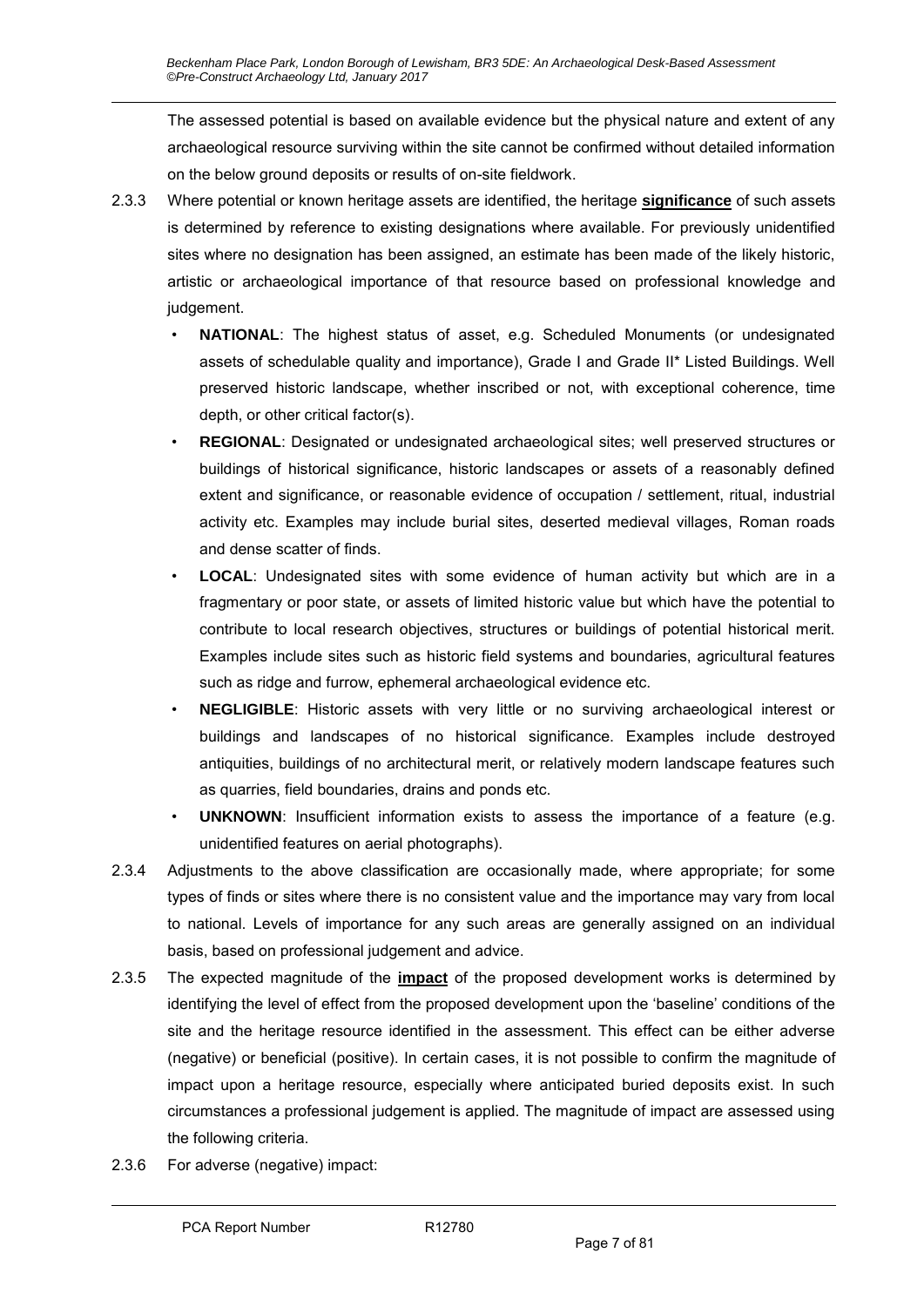The assessed potential is based on available evidence but the physical nature and extent of any archaeological resource surviving within the site cannot be confirmed without detailed information on the below ground deposits or results of on-site fieldwork.

- 2.3.3 Where potential or known heritage assets are identified, the heritage **significance** of such assets is determined by reference to existing designations where available. For previously unidentified sites where no designation has been assigned, an estimate has been made of the likely historic, artistic or archaeological importance of that resource based on professional knowledge and judgement.
	- **NATIONAL**: The highest status of asset, e.g. Scheduled Monuments (or undesignated assets of schedulable quality and importance), Grade I and Grade II\* Listed Buildings. Well preserved historic landscape, whether inscribed or not, with exceptional coherence, time depth, or other critical factor(s).
	- **REGIONAL**: Designated or undesignated archaeological sites; well preserved structures or buildings of historical significance, historic landscapes or assets of a reasonably defined extent and significance, or reasonable evidence of occupation / settlement, ritual, industrial activity etc. Examples may include burial sites, deserted medieval villages, Roman roads and dense scatter of finds.
	- **LOCAL**: Undesignated sites with some evidence of human activity but which are in a fragmentary or poor state, or assets of limited historic value but which have the potential to contribute to local research objectives, structures or buildings of potential historical merit. Examples include sites such as historic field systems and boundaries, agricultural features such as ridge and furrow, ephemeral archaeological evidence etc.
	- **NEGLIGIBLE**: Historic assets with very little or no surviving archaeological interest or buildings and landscapes of no historical significance. Examples include destroyed antiquities, buildings of no architectural merit, or relatively modern landscape features such as quarries, field boundaries, drains and ponds etc.
	- **UNKNOWN:** Insufficient information exists to assess the importance of a feature (e.g. unidentified features on aerial photographs).
- 2.3.4 Adjustments to the above classification are occasionally made, where appropriate; for some types of finds or sites where there is no consistent value and the importance may vary from local to national. Levels of importance for any such areas are generally assigned on an individual basis, based on professional judgement and advice.
- 2.3.5 The expected magnitude of the **impact** of the proposed development works is determined by identifying the level of effect from the proposed development upon the 'baseline' conditions of the site and the heritage resource identified in the assessment. This effect can be either adverse (negative) or beneficial (positive). In certain cases, it is not possible to confirm the magnitude of impact upon a heritage resource, especially where anticipated buried deposits exist. In such circumstances a professional judgement is applied. The magnitude of impact are assessed using the following criteria.
- 2.3.6 For adverse (negative) impact: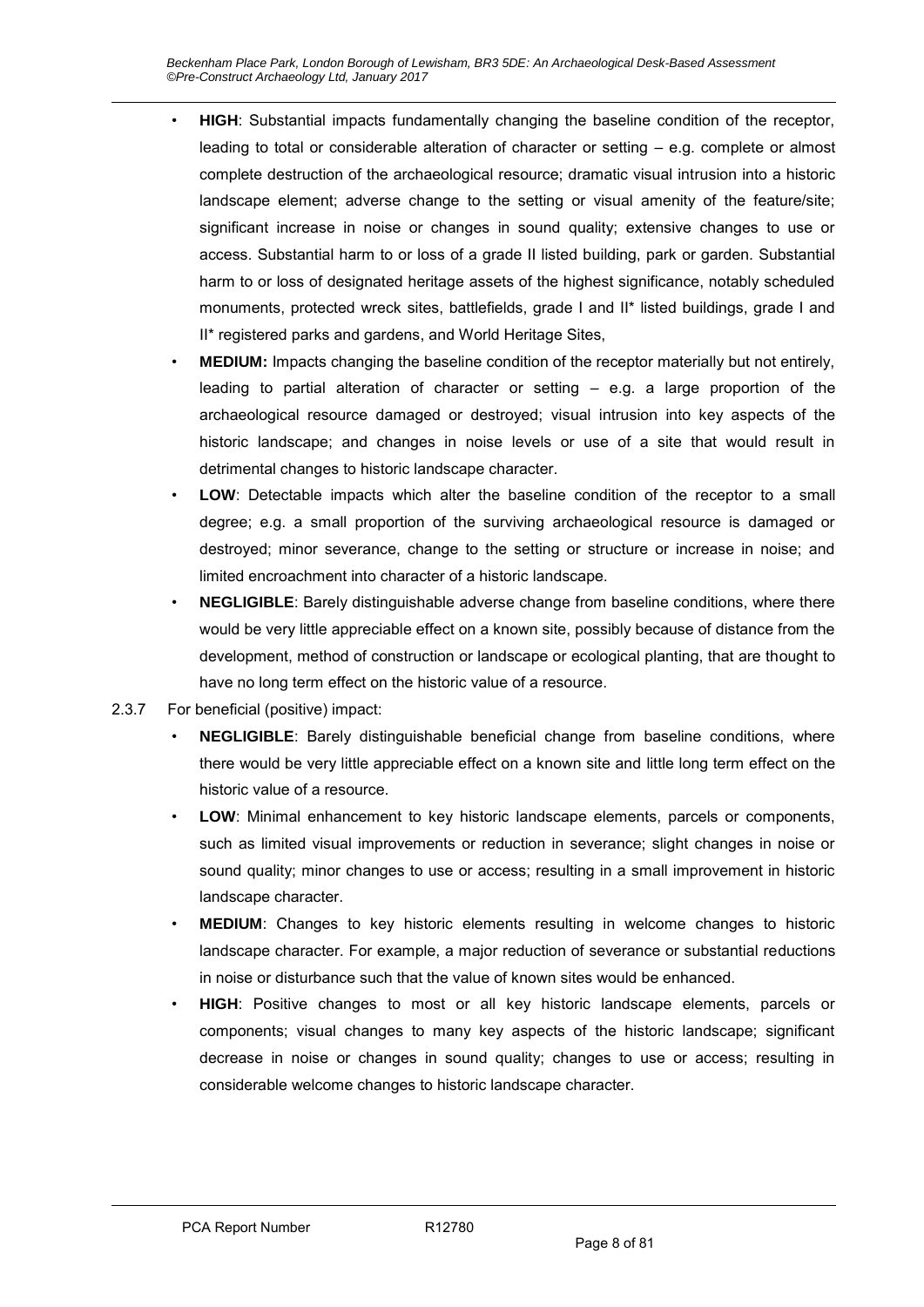- **HIGH**: Substantial impacts fundamentally changing the baseline condition of the receptor, leading to total or considerable alteration of character or setting – e.g. complete or almost complete destruction of the archaeological resource; dramatic visual intrusion into a historic landscape element; adverse change to the setting or visual amenity of the feature/site; significant increase in noise or changes in sound quality; extensive changes to use or access. Substantial harm to or loss of a grade II listed building, park or garden. Substantial harm to or loss of designated heritage assets of the highest significance, notably scheduled monuments, protected wreck sites, battlefields, grade I and II\* listed buildings, grade I and II\* registered parks and gardens, and World Heritage Sites,
- **MEDIUM:** Impacts changing the baseline condition of the receptor materially but not entirely, leading to partial alteration of character or setting  $-$  e.g. a large proportion of the archaeological resource damaged or destroyed; visual intrusion into key aspects of the historic landscape; and changes in noise levels or use of a site that would result in detrimental changes to historic landscape character.
- **LOW**: Detectable impacts which alter the baseline condition of the receptor to a small degree; e.g. a small proportion of the surviving archaeological resource is damaged or destroyed; minor severance, change to the setting or structure or increase in noise; and limited encroachment into character of a historic landscape.
- **NEGLIGIBLE**: Barely distinguishable adverse change from baseline conditions, where there would be very little appreciable effect on a known site, possibly because of distance from the development, method of construction or landscape or ecological planting, that are thought to have no long term effect on the historic value of a resource.
- 2.3.7 For beneficial (positive) impact:
	- **NEGLIGIBLE**: Barely distinguishable beneficial change from baseline conditions, where there would be very little appreciable effect on a known site and little long term effect on the historic value of a resource.
	- **LOW**: Minimal enhancement to key historic landscape elements, parcels or components, such as limited visual improvements or reduction in severance; slight changes in noise or sound quality; minor changes to use or access; resulting in a small improvement in historic landscape character.
	- **MEDIUM**: Changes to key historic elements resulting in welcome changes to historic landscape character. For example, a major reduction of severance or substantial reductions in noise or disturbance such that the value of known sites would be enhanced.
	- **HIGH**: Positive changes to most or all key historic landscape elements, parcels or components; visual changes to many key aspects of the historic landscape; significant decrease in noise or changes in sound quality; changes to use or access; resulting in considerable welcome changes to historic landscape character.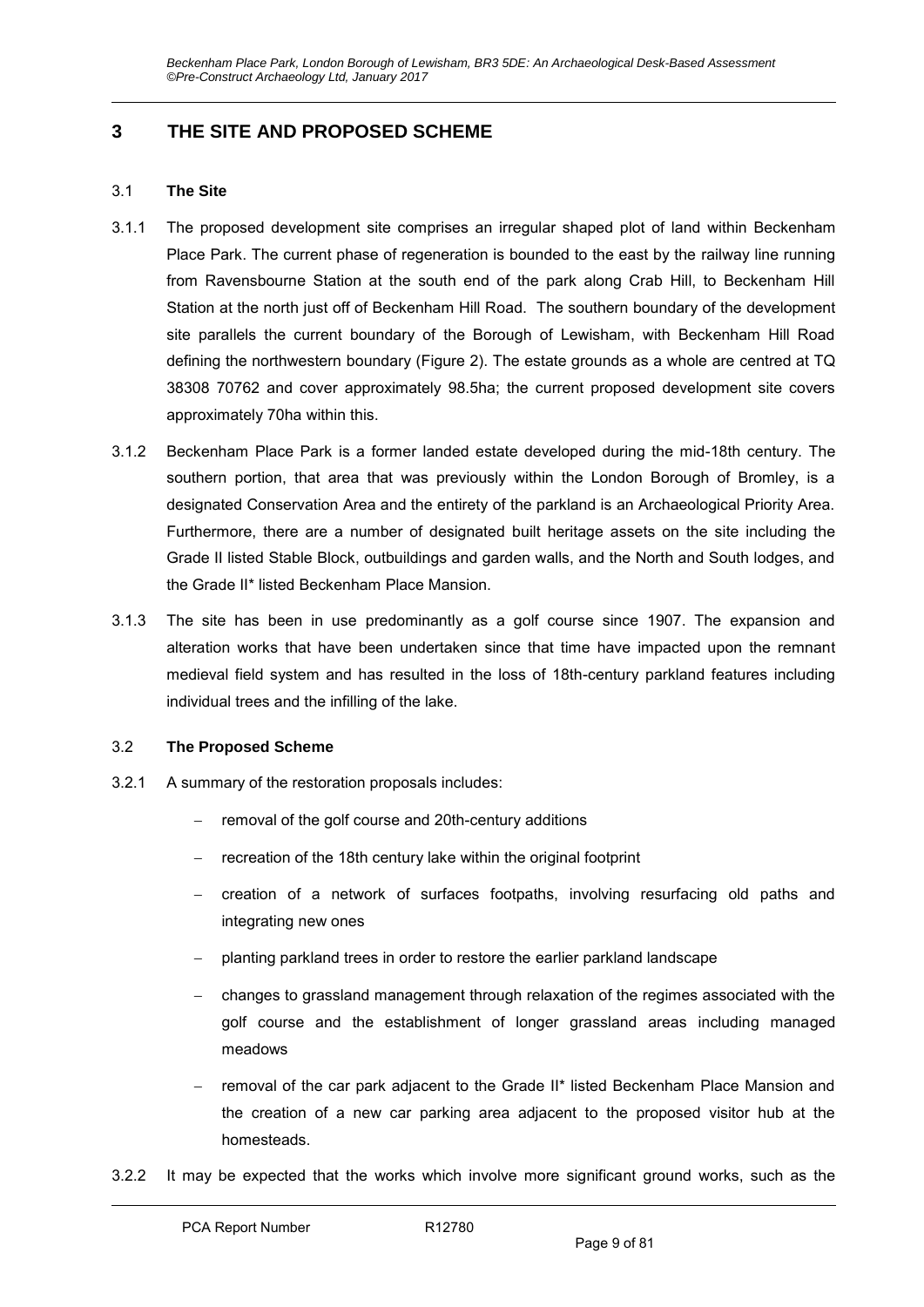# **3 THE SITE AND PROPOSED SCHEME**

#### 3.1 **The Site**

- 3.1.1 The proposed development site comprises an irregular shaped plot of land within Beckenham Place Park. The current phase of regeneration is bounded to the east by the railway line running from Ravensbourne Station at the south end of the park along Crab Hill, to Beckenham Hill Station at the north just off of Beckenham Hill Road. The southern boundary of the development site parallels the current boundary of the Borough of Lewisham, with Beckenham Hill Road defining the northwestern boundary (Figure 2). The estate grounds as a whole are centred at TQ 38308 70762 and cover approximately 98.5ha; the current proposed development site covers approximately 70ha within this.
- 3.1.2 Beckenham Place Park is a former landed estate developed during the mid-18th century. The southern portion, that area that was previously within the London Borough of Bromley, is a designated Conservation Area and the entirety of the parkland is an Archaeological Priority Area. Furthermore, there are a number of designated built heritage assets on the site including the Grade II listed Stable Block, outbuildings and garden walls, and the North and South lodges, and the Grade II\* listed Beckenham Place Mansion.
- 3.1.3 The site has been in use predominantly as a golf course since 1907. The expansion and alteration works that have been undertaken since that time have impacted upon the remnant medieval field system and has resulted in the loss of 18th-century parkland features including individual trees and the infilling of the lake.

#### 3.2 **The Proposed Scheme**

- 3.2.1 A summary of the restoration proposals includes:
	- removal of the golf course and 20th-century additions
	- recreation of the 18th century lake within the original footprint
	- creation of a network of surfaces footpaths, involving resurfacing old paths and integrating new ones
	- planting parkland trees in order to restore the earlier parkland landscape
	- changes to grassland management through relaxation of the regimes associated with the golf course and the establishment of longer grassland areas including managed meadows
	- removal of the car park adjacent to the Grade II\* listed Beckenham Place Mansion and the creation of a new car parking area adjacent to the proposed visitor hub at the homesteads.
- 3.2.2 It may be expected that the works which involve more significant ground works, such as the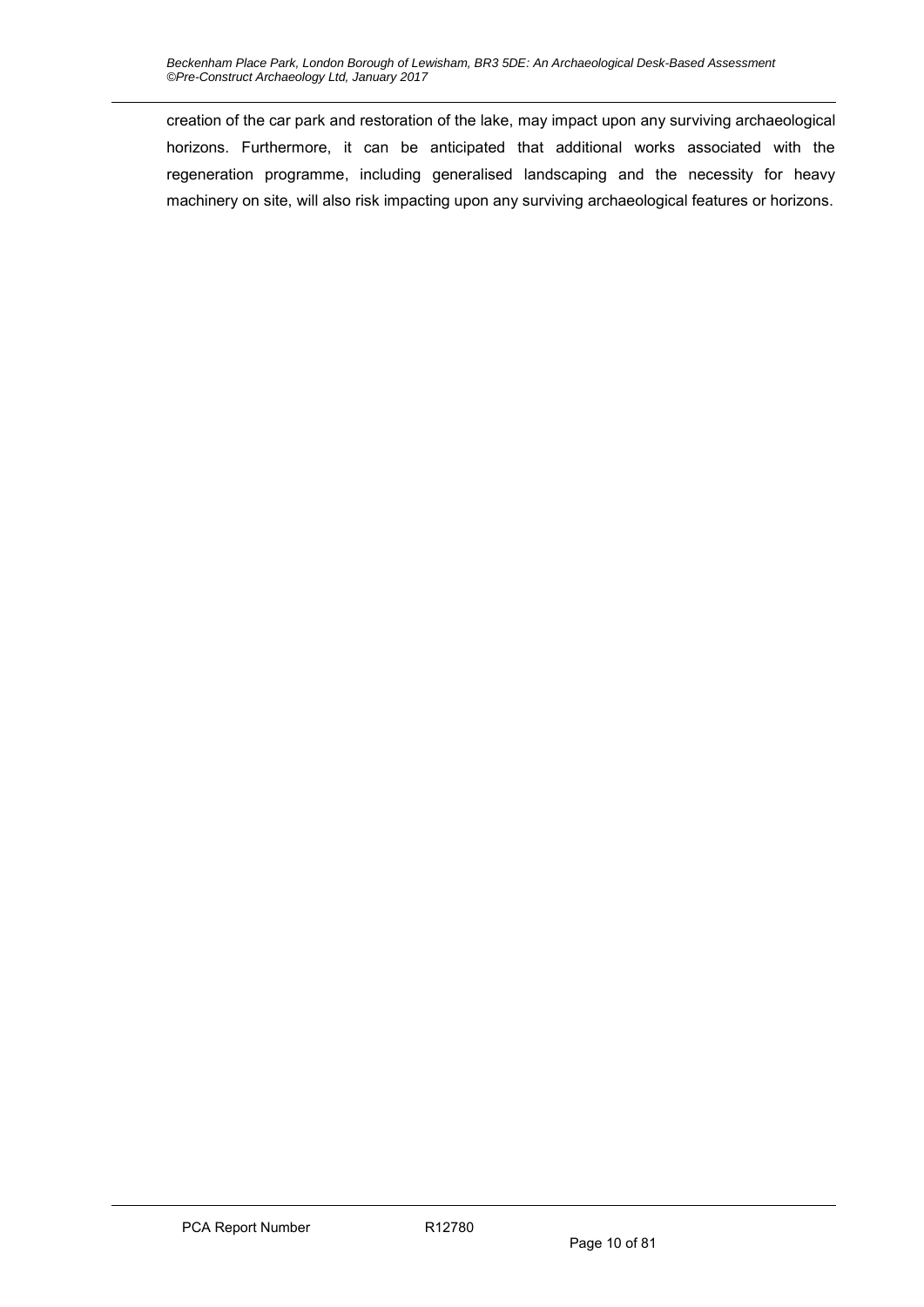creation of the car park and restoration of the lake, may impact upon any surviving archaeological horizons. Furthermore, it can be anticipated that additional works associated with the regeneration programme, including generalised landscaping and the necessity for heavy machinery on site, will also risk impacting upon any surviving archaeological features or horizons.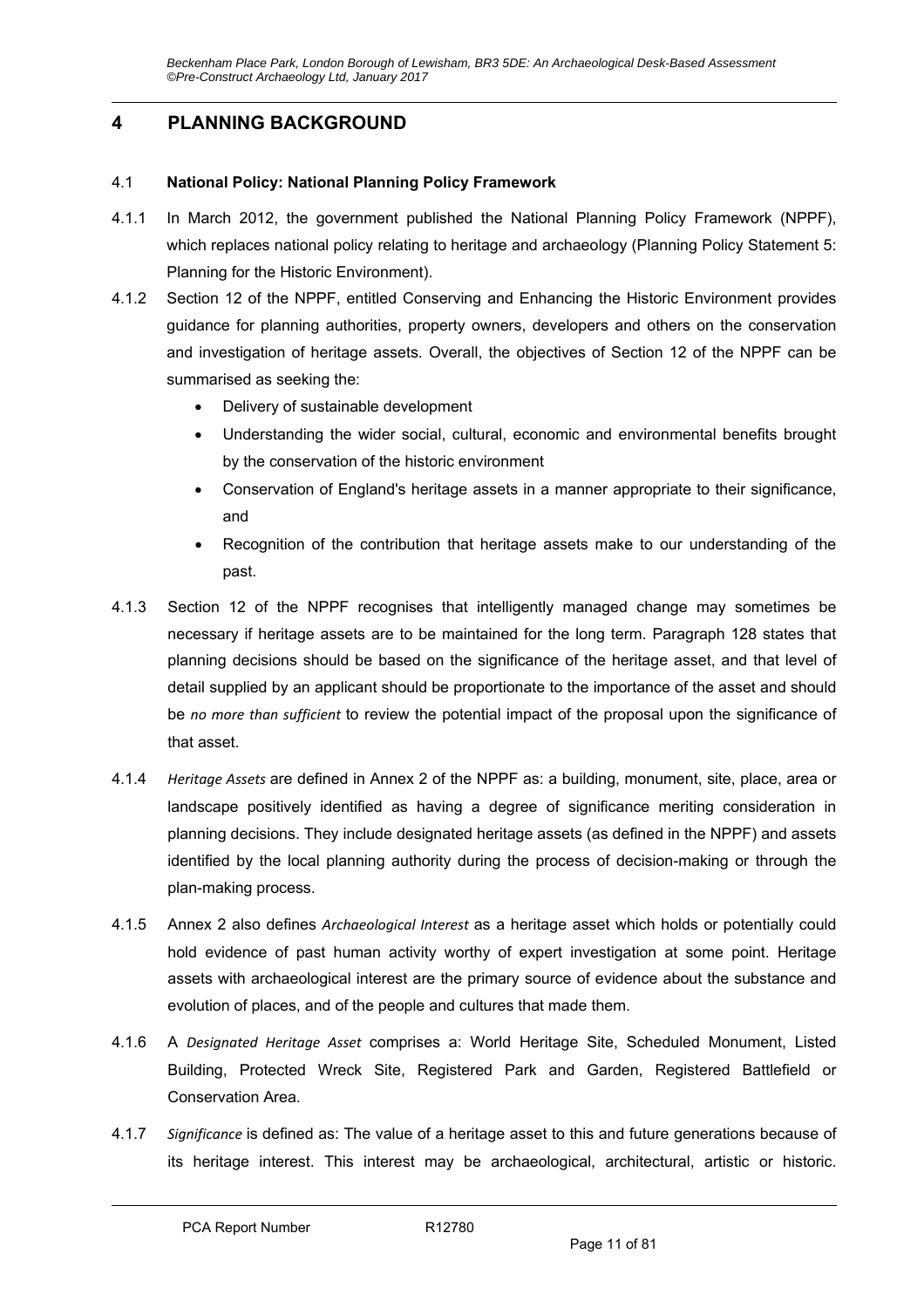# **4 PLANNING BACKGROUND**

#### 4.1 **National Policy: National Planning Policy Framework**

- 4.1.1 In March 2012, the government published the National Planning Policy Framework (NPPF), which replaces national policy relating to heritage and archaeology (Planning Policy Statement 5: Planning for the Historic Environment).
- 4.1.2 Section 12 of the NPPF, entitled Conserving and Enhancing the Historic Environment provides guidance for planning authorities, property owners, developers and others on the conservation and investigation of heritage assets. Overall, the objectives of Section 12 of the NPPF can be summarised as seeking the:
	- Delivery of sustainable development
	- Understanding the wider social, cultural, economic and environmental benefits brought by the conservation of the historic environment
	- Conservation of England's heritage assets in a manner appropriate to their significance, and
	- Recognition of the contribution that heritage assets make to our understanding of the past.
- 4.1.3 Section 12 of the NPPF recognises that intelligently managed change may sometimes be necessary if heritage assets are to be maintained for the long term. Paragraph 128 states that planning decisions should be based on the significance of the heritage asset, and that level of detail supplied by an applicant should be proportionate to the importance of the asset and should be *no more than sufficient* to review the potential impact of the proposal upon the significance of that asset.
- 4.1.4 *Heritage Assets* are defined in Annex 2 of the NPPF as: a building, monument, site, place, area or landscape positively identified as having a degree of significance meriting consideration in planning decisions. They include designated heritage assets (as defined in the NPPF) and assets identified by the local planning authority during the process of decision-making or through the plan-making process.
- 4.1.5 Annex 2 also defines *Archaeological Interest* as a heritage asset which holds or potentially could hold evidence of past human activity worthy of expert investigation at some point. Heritage assets with archaeological interest are the primary source of evidence about the substance and evolution of places, and of the people and cultures that made them.
- 4.1.6 A *Designated Heritage Asset*  comprises a: World Heritage Site, Scheduled Monument, Listed Building, Protected Wreck Site, Registered Park and Garden, Registered Battlefield or Conservation Area.
- 4.1.7 *Significance* is defined as: The value of a heritage asset to this and future generations because of its heritage interest. This interest may be archaeological, architectural, artistic or historic.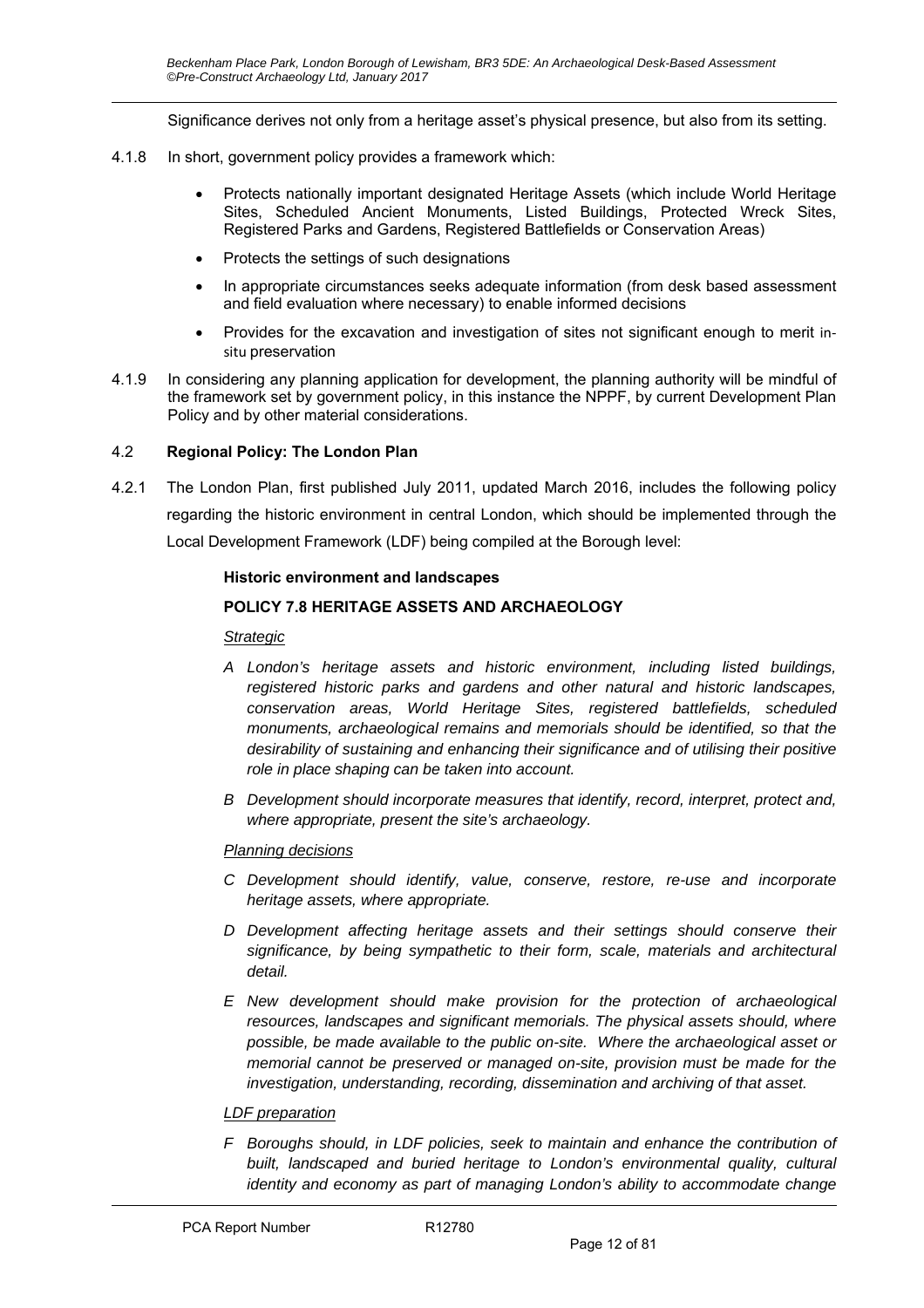Significance derives not only from a heritage asset's physical presence, but also from its setting.

- 4.1.8 In short, government policy provides a framework which:
	- Protects nationally important designated Heritage Assets (which include World Heritage Sites, Scheduled Ancient Monuments, Listed Buildings, Protected Wreck Sites, Registered Parks and Gardens, Registered Battlefields or Conservation Areas)
	- Protects the settings of such designations
	- In appropriate circumstances seeks adequate information (from desk based assessment and field evaluation where necessary) to enable informed decisions
	- Provides for the excavation and investigation of sites not significant enough to merit in‐ situ preservation
- 4.1.9 In considering any planning application for development, the planning authority will be mindful of the framework set by government policy, in this instance the NPPF, by current Development Plan Policy and by other material considerations.

#### 4.2 **Regional Policy: The London Plan**

4.2.1 The London Plan, first published July 2011, updated March 2016, includes the following policy regarding the historic environment in central London, which should be implemented through the Local Development Framework (LDF) being compiled at the Borough level:

#### **Historic environment and landscapes**

#### **POLICY 7.8 HERITAGE ASSETS AND ARCHAEOLOGY**

#### *Strategic*

- *A London's heritage assets and historic environment, including listed buildings, registered historic parks and gardens and other natural and historic landscapes, conservation areas, World Heritage Sites, registered battlefields, scheduled monuments, archaeological remains and memorials should be identified, so that the desirability of sustaining and enhancing their significance and of utilising their positive role in place shaping can be taken into account.*
- *B Development should incorporate measures that identify, record, interpret, protect and, where appropriate, present the site's archaeology.*

#### *Planning decisions*

- *C Development should identify, value, conserve, restore, re-use and incorporate heritage assets, where appropriate.*
- *D Development affecting heritage assets and their settings should conserve their significance, by being sympathetic to their form, scale, materials and architectural detail.*
- *E New development should make provision for the protection of archaeological resources, landscapes and significant memorials. The physical assets should, where possible, be made available to the public on-site. Where the archaeological asset or memorial cannot be preserved or managed on-site, provision must be made for the investigation, understanding, recording, dissemination and archiving of that asset.*

#### *LDF preparation*

*F Boroughs should, in LDF policies, seek to maintain and enhance the contribution of built, landscaped and buried heritage to London's environmental quality, cultural identity and economy as part of managing London's ability to accommodate change*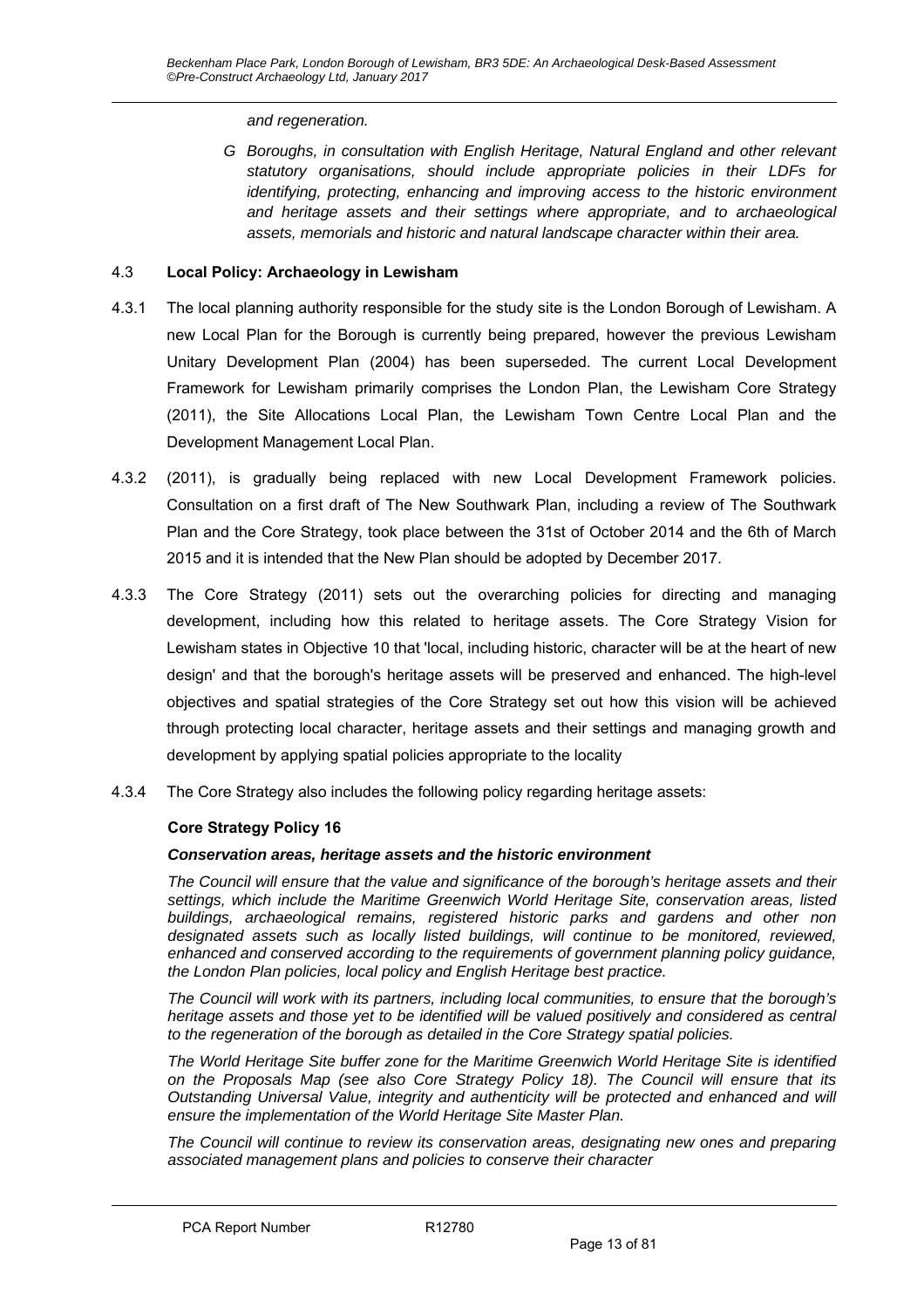*and regeneration.* 

*G Boroughs, in consultation with English Heritage, Natural England and other relevant statutory organisations, should include appropriate policies in their LDFs for identifying, protecting, enhancing and improving access to the historic environment and heritage assets and their settings where appropriate, and to archaeological assets, memorials and historic and natural landscape character within their area.* 

#### 4.3 **Local Policy: Archaeology in Lewisham**

- 4.3.1 The local planning authority responsible for the study site is the London Borough of Lewisham. A new Local Plan for the Borough is currently being prepared, however the previous Lewisham Unitary Development Plan (2004) has been superseded. The current Local Development Framework for Lewisham primarily comprises the London Plan, the Lewisham Core Strategy (2011), the Site Allocations Local Plan, the Lewisham Town Centre Local Plan and the Development Management Local Plan.
- 4.3.2 (2011), is gradually being replaced with new Local Development Framework policies. Consultation on a first draft of The New Southwark Plan, including a review of The Southwark Plan and the Core Strategy, took place between the 31st of October 2014 and the 6th of March 2015 and it is intended that the New Plan should be adopted by December 2017.
- 4.3.3 The Core Strategy (2011) sets out the overarching policies for directing and managing development, including how this related to heritage assets. The Core Strategy Vision for Lewisham states in Objective 10 that 'local, including historic, character will be at the heart of new design' and that the borough's heritage assets will be preserved and enhanced. The high-level objectives and spatial strategies of the Core Strategy set out how this vision will be achieved through protecting local character, heritage assets and their settings and managing growth and development by applying spatial policies appropriate to the locality
- 4.3.4 The Core Strategy also includes the following policy regarding heritage assets:

#### **Core Strategy Policy 16**

#### *Conservation areas, heritage assets and the historic environment*

*The Council will ensure that the value and significance of the borough's heritage assets and their settings, which include the Maritime Greenwich World Heritage Site, conservation areas, listed buildings, archaeological remains, registered historic parks and gardens and other non designated assets such as locally listed buildings, will continue to be monitored, reviewed, enhanced and conserved according to the requirements of government planning policy guidance, the London Plan policies, local policy and English Heritage best practice.* 

*The Council will work with its partners, including local communities, to ensure that the borough's heritage assets and those yet to be identified will be valued positively and considered as central to the regeneration of the borough as detailed in the Core Strategy spatial policies.* 

*The World Heritage Site buffer zone for the Maritime Greenwich World Heritage Site is identified on the Proposals Map (see also Core Strategy Policy 18). The Council will ensure that its Outstanding Universal Value, integrity and authenticity will be protected and enhanced and will ensure the implementation of the World Heritage Site Master Plan.* 

*The Council will continue to review its conservation areas, designating new ones and preparing associated management plans and policies to conserve their character*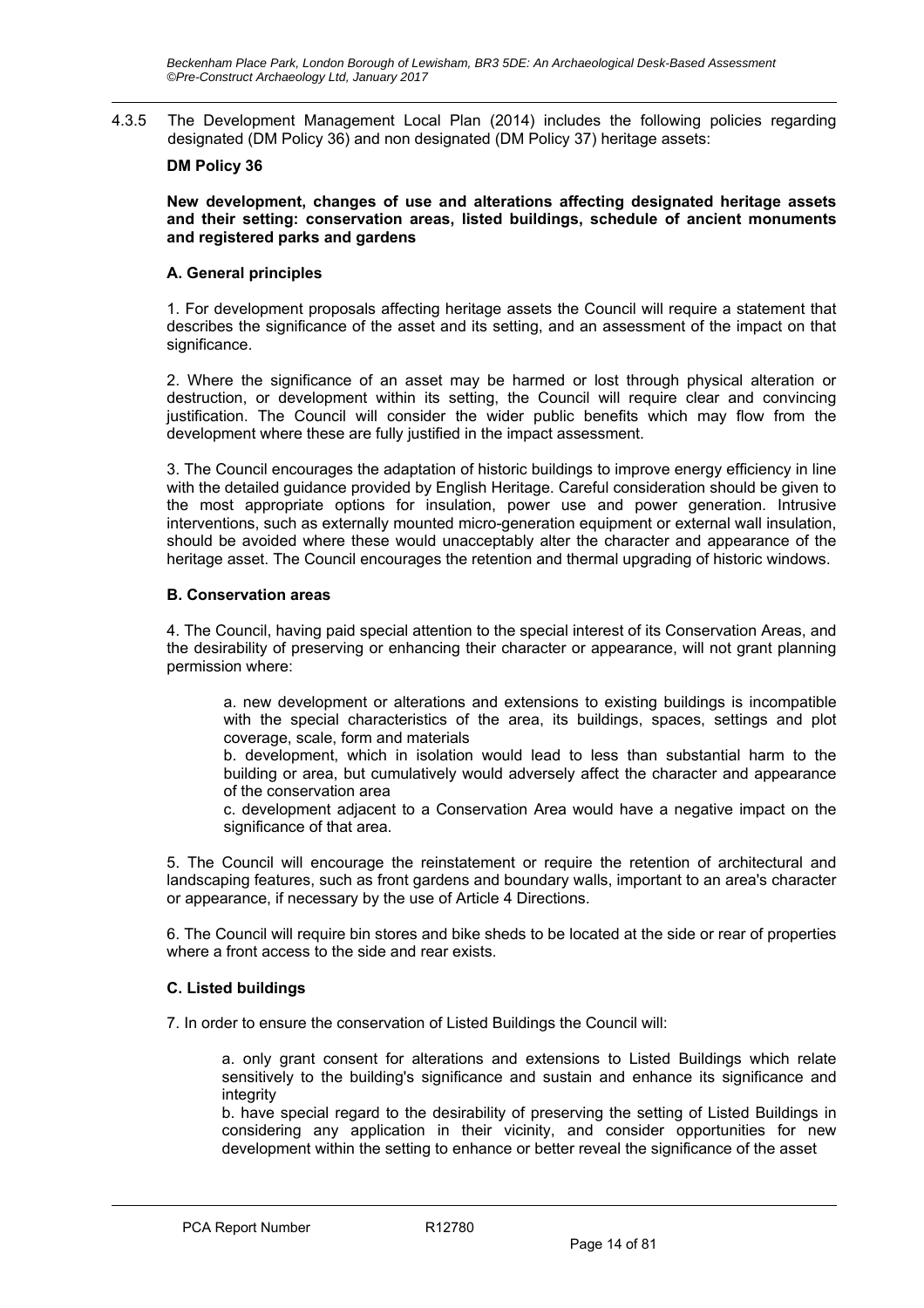4.3.5 The Development Management Local Plan (2014) includes the following policies regarding designated (DM Policy 36) and non designated (DM Policy 37) heritage assets:

#### **DM Policy 36**

**New development, changes of use and alterations affecting designated heritage assets and their setting: conservation areas, listed buildings, schedule of ancient monuments and registered parks and gardens** 

#### **A. General principles**

1. For development proposals affecting heritage assets the Council will require a statement that describes the significance of the asset and its setting, and an assessment of the impact on that significance.

2. Where the significance of an asset may be harmed or lost through physical alteration or destruction, or development within its setting, the Council will require clear and convincing justification. The Council will consider the wider public benefits which may flow from the development where these are fully justified in the impact assessment.

3. The Council encourages the adaptation of historic buildings to improve energy efficiency in line with the detailed guidance provided by English Heritage. Careful consideration should be given to the most appropriate options for insulation, power use and power generation. Intrusive interventions, such as externally mounted micro-generation equipment or external wall insulation, should be avoided where these would unacceptably alter the character and appearance of the heritage asset. The Council encourages the retention and thermal upgrading of historic windows.

#### **B. Conservation areas**

4. The Council, having paid special attention to the special interest of its Conservation Areas, and the desirability of preserving or enhancing their character or appearance, will not grant planning permission where:

a. new development or alterations and extensions to existing buildings is incompatible with the special characteristics of the area, its buildings, spaces, settings and plot coverage, scale, form and materials

b. development, which in isolation would lead to less than substantial harm to the building or area, but cumulatively would adversely affect the character and appearance of the conservation area

c. development adjacent to a Conservation Area would have a negative impact on the significance of that area.

5. The Council will encourage the reinstatement or require the retention of architectural and landscaping features, such as front gardens and boundary walls, important to an area's character or appearance, if necessary by the use of Article 4 Directions.

6. The Council will require bin stores and bike sheds to be located at the side or rear of properties where a front access to the side and rear exists.

#### **C. Listed buildings**

7. In order to ensure the conservation of Listed Buildings the Council will:

a. only grant consent for alterations and extensions to Listed Buildings which relate sensitively to the building's significance and sustain and enhance its significance and integrity

b. have special regard to the desirability of preserving the setting of Listed Buildings in considering any application in their vicinity, and consider opportunities for new development within the setting to enhance or better reveal the significance of the asset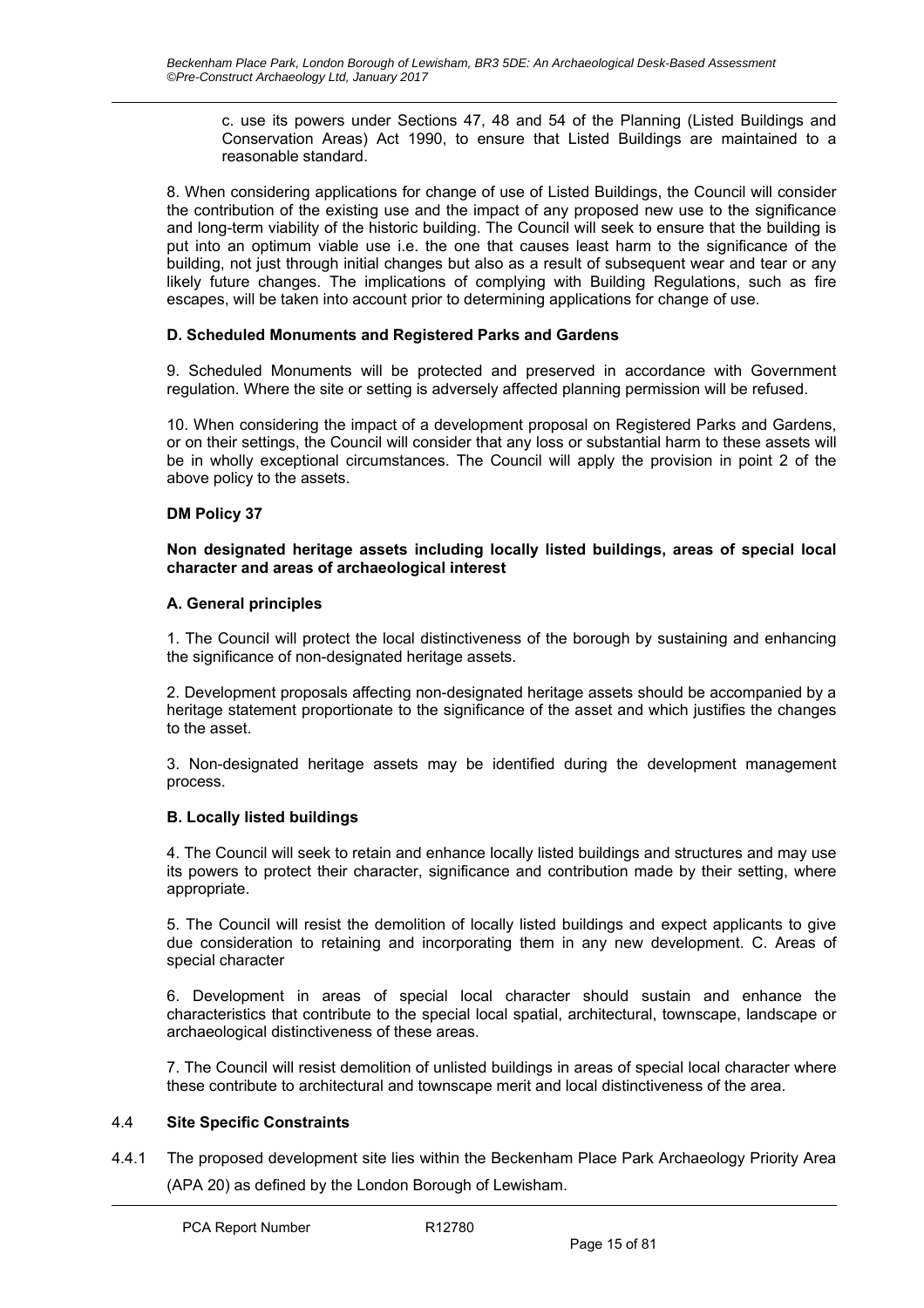c. use its powers under Sections 47, 48 and 54 of the Planning (Listed Buildings and Conservation Areas) Act 1990, to ensure that Listed Buildings are maintained to a reasonable standard.

8. When considering applications for change of use of Listed Buildings, the Council will consider the contribution of the existing use and the impact of any proposed new use to the significance and long-term viability of the historic building. The Council will seek to ensure that the building is put into an optimum viable use i.e. the one that causes least harm to the significance of the building, not just through initial changes but also as a result of subsequent wear and tear or any likely future changes. The implications of complying with Building Regulations, such as fire escapes, will be taken into account prior to determining applications for change of use.

#### **D. Scheduled Monuments and Registered Parks and Gardens**

9. Scheduled Monuments will be protected and preserved in accordance with Government regulation. Where the site or setting is adversely affected planning permission will be refused.

10. When considering the impact of a development proposal on Registered Parks and Gardens, or on their settings, the Council will consider that any loss or substantial harm to these assets will be in wholly exceptional circumstances. The Council will apply the provision in point 2 of the above policy to the assets.

#### **DM Policy 37**

#### **Non designated heritage assets including locally listed buildings, areas of special local character and areas of archaeological interest**

#### **A. General principles**

1. The Council will protect the local distinctiveness of the borough by sustaining and enhancing the significance of non-designated heritage assets.

2. Development proposals affecting non-designated heritage assets should be accompanied by a heritage statement proportionate to the significance of the asset and which justifies the changes to the asset.

3. Non-designated heritage assets may be identified during the development management process.

#### **B. Locally listed buildings**

4. The Council will seek to retain and enhance locally listed buildings and structures and may use its powers to protect their character, significance and contribution made by their setting, where appropriate.

5. The Council will resist the demolition of locally listed buildings and expect applicants to give due consideration to retaining and incorporating them in any new development. C. Areas of special character

6. Development in areas of special local character should sustain and enhance the characteristics that contribute to the special local spatial, architectural, townscape, landscape or archaeological distinctiveness of these areas.

7. The Council will resist demolition of unlisted buildings in areas of special local character where these contribute to architectural and townscape merit and local distinctiveness of the area.

#### 4.4 **Site Specific Constraints**

4.4.1 The proposed development site lies within the Beckenham Place Park Archaeology Priority Area (APA 20) as defined by the London Borough of Lewisham.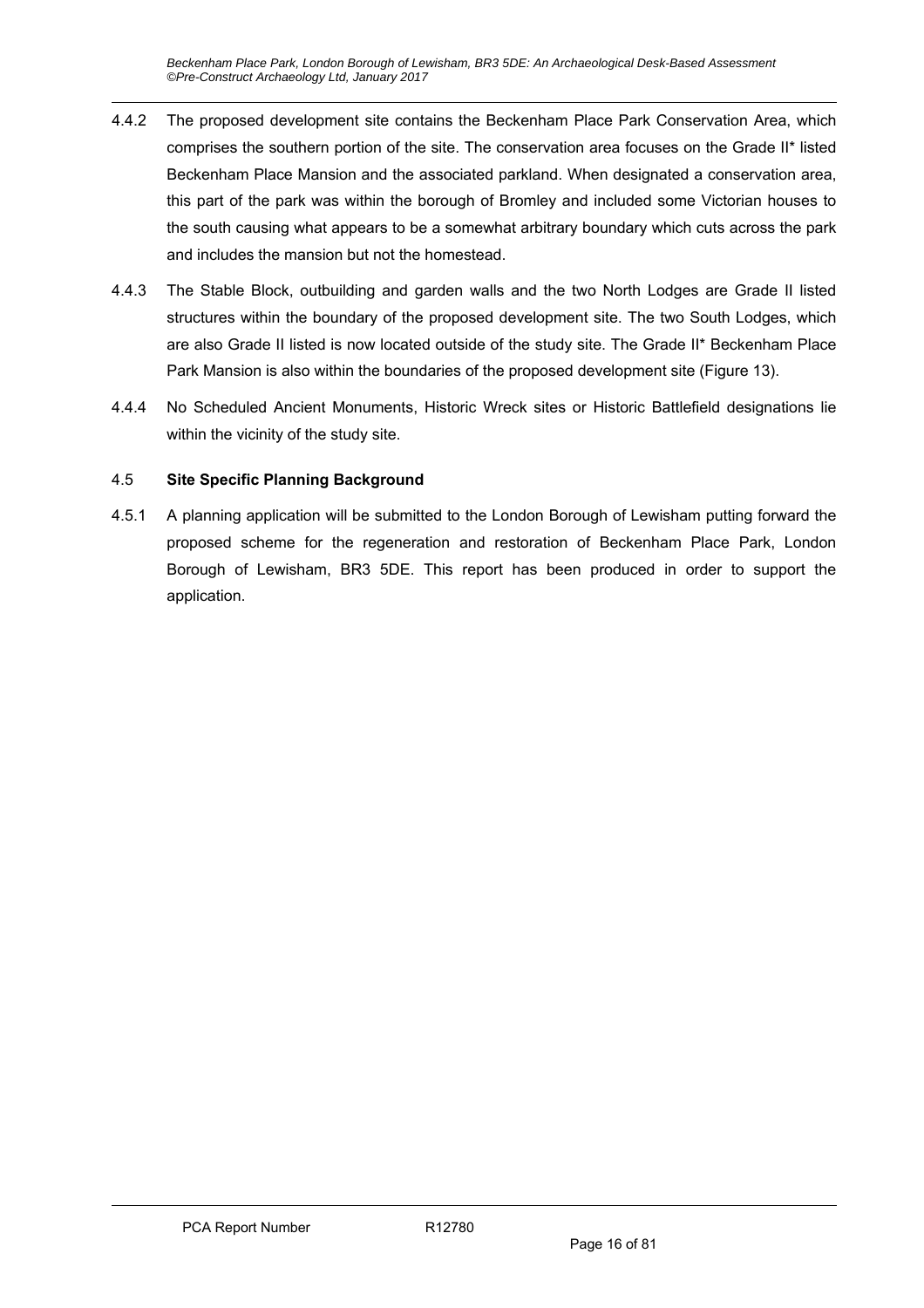- 4.4.2 The proposed development site contains the Beckenham Place Park Conservation Area, which comprises the southern portion of the site. The conservation area focuses on the Grade II\* listed Beckenham Place Mansion and the associated parkland. When designated a conservation area, this part of the park was within the borough of Bromley and included some Victorian houses to the south causing what appears to be a somewhat arbitrary boundary which cuts across the park and includes the mansion but not the homestead.
- 4.4.3 The Stable Block, outbuilding and garden walls and the two North Lodges are Grade II listed structures within the boundary of the proposed development site. The two South Lodges, which are also Grade II listed is now located outside of the study site. The Grade II\* Beckenham Place Park Mansion is also within the boundaries of the proposed development site (Figure 13).
- 4.4.4 No Scheduled Ancient Monuments, Historic Wreck sites or Historic Battlefield designations lie within the vicinity of the study site.

### 4.5 **Site Specific Planning Background**

4.5.1 A planning application will be submitted to the London Borough of Lewisham putting forward the proposed scheme for the regeneration and restoration of Beckenham Place Park, London Borough of Lewisham, BR3 5DE. This report has been produced in order to support the application.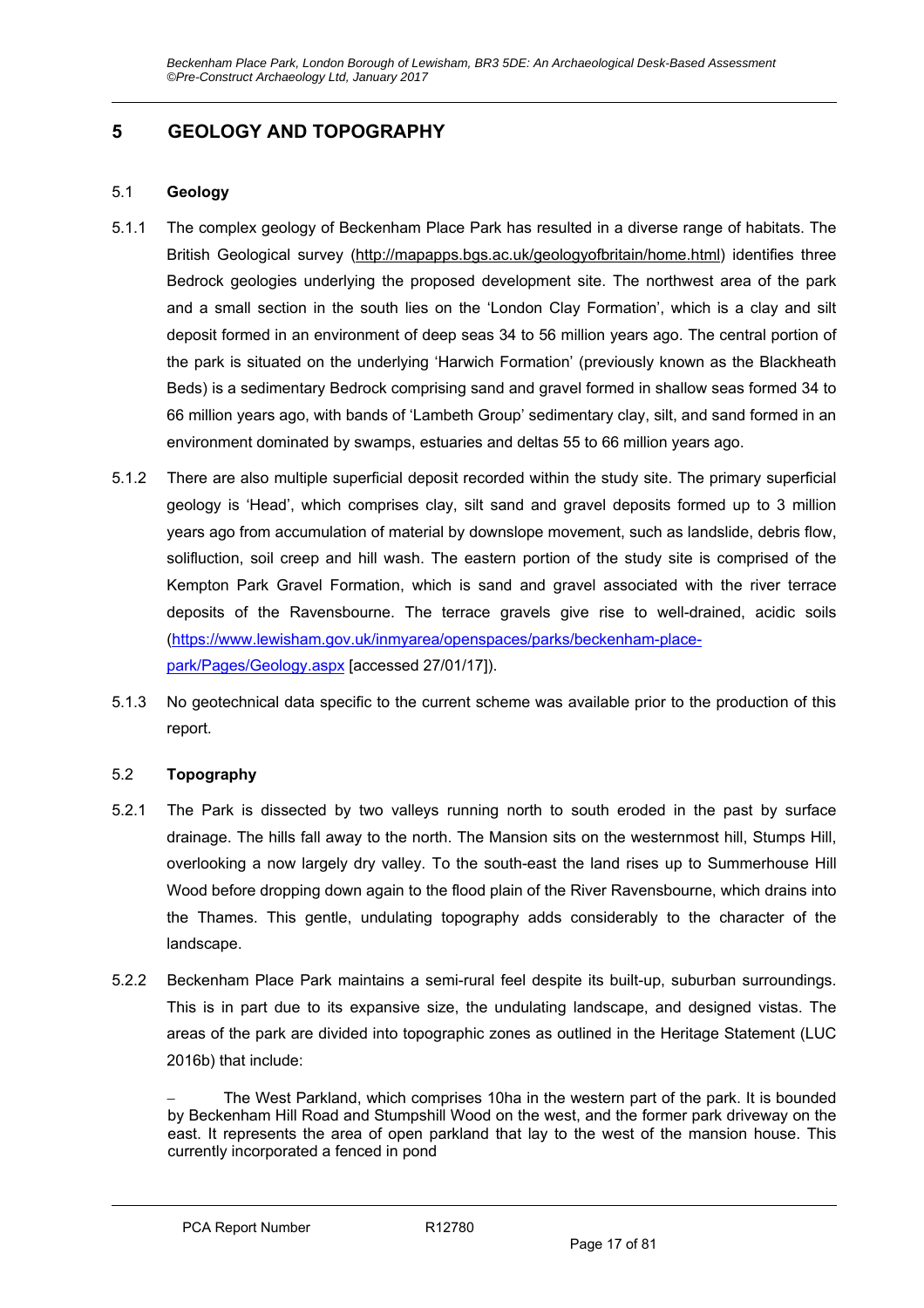# **5 GEOLOGY AND TOPOGRAPHY**

#### 5.1 **Geology**

- 5.1.1 The complex geology of Beckenham Place Park has resulted in a diverse range of habitats. The British Geological survey (http://mapapps.bgs.ac.uk/geologyofbritain/home.html) identifies three Bedrock geologies underlying the proposed development site. The northwest area of the park and a small section in the south lies on the 'London Clay Formation', which is a clay and silt deposit formed in an environment of deep seas 34 to 56 million years ago. The central portion of the park is situated on the underlying 'Harwich Formation' (previously known as the Blackheath Beds) is a sedimentary Bedrock comprising sand and gravel formed in shallow seas formed 34 to 66 million years ago, with bands of 'Lambeth Group' sedimentary clay, silt, and sand formed in an environment dominated by swamps, estuaries and deltas 55 to 66 million years ago.
- 5.1.2 There are also multiple superficial deposit recorded within the study site. The primary superficial geology is 'Head', which comprises clay, silt sand and gravel deposits formed up to 3 million years ago from accumulation of material by downslope movement, such as landslide, debris flow, solifluction, soil creep and hill wash. The eastern portion of the study site is comprised of the Kempton Park Gravel Formation, which is sand and gravel associated with the river terrace deposits of the Ravensbourne. The terrace gravels give rise to well-drained, acidic soils (https://www.lewisham.gov.uk/inmyarea/openspaces/parks/beckenham-placepark/Pages/Geology.aspx [accessed 27/01/17]).
- 5.1.3 No geotechnical data specific to the current scheme was available prior to the production of this report.

#### 5.2 **Topography**

- 5.2.1 The Park is dissected by two valleys running north to south eroded in the past by surface drainage. The hills fall away to the north. The Mansion sits on the westernmost hill, Stumps Hill, overlooking a now largely dry valley. To the south-east the land rises up to Summerhouse Hill Wood before dropping down again to the flood plain of the River Ravensbourne, which drains into the Thames. This gentle, undulating topography adds considerably to the character of the landscape.
- 5.2.2 Beckenham Place Park maintains a semi-rural feel despite its built-up, suburban surroundings. This is in part due to its expansive size, the undulating landscape, and designed vistas. The areas of the park are divided into topographic zones as outlined in the Heritage Statement (LUC 2016b) that include:

 The West Parkland, which comprises 10ha in the western part of the park. It is bounded by Beckenham Hill Road and Stumpshill Wood on the west, and the former park driveway on the east. It represents the area of open parkland that lay to the west of the mansion house. This currently incorporated a fenced in pond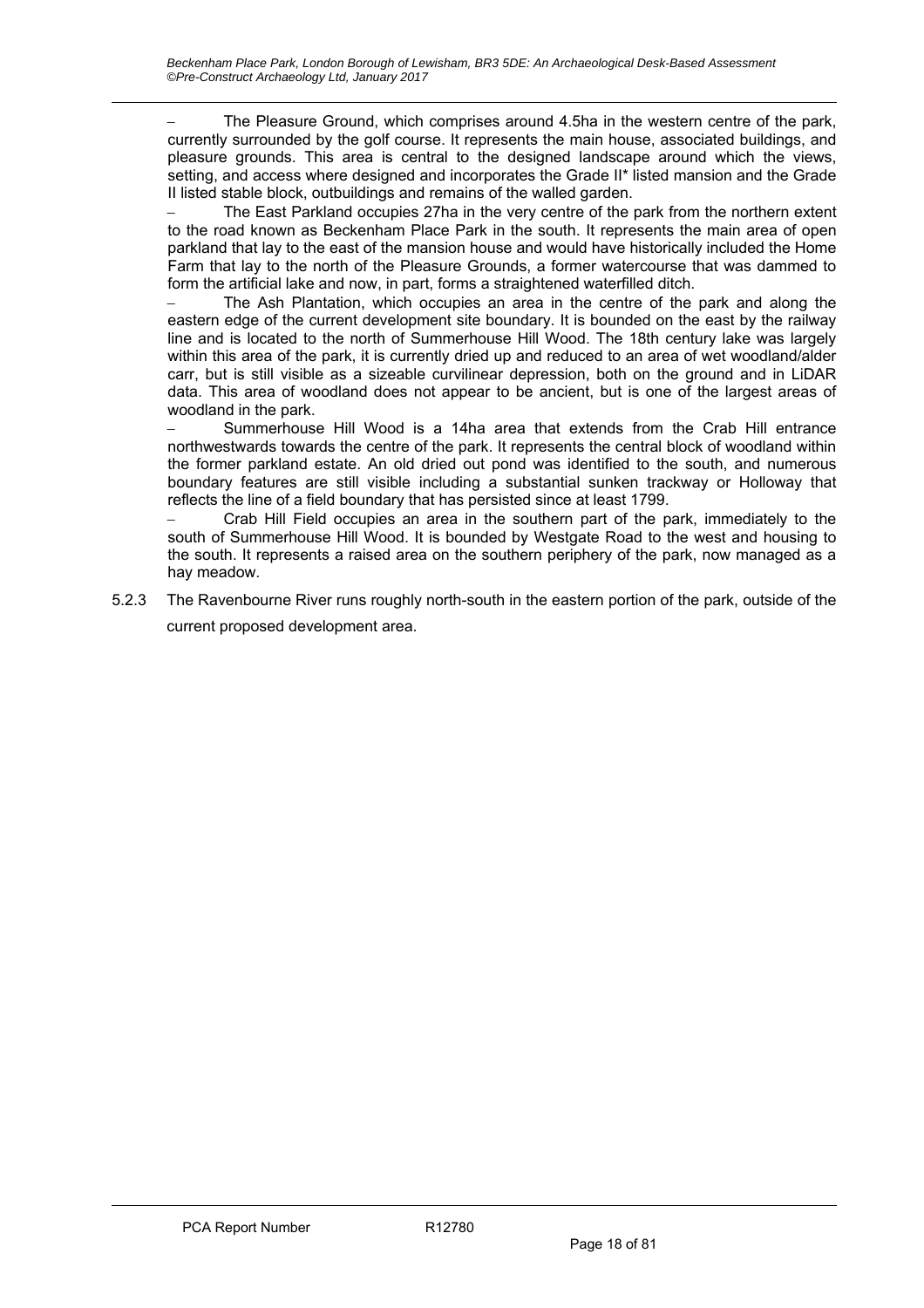The Pleasure Ground, which comprises around 4.5ha in the western centre of the park, currently surrounded by the golf course. It represents the main house, associated buildings, and pleasure grounds. This area is central to the designed landscape around which the views, setting, and access where designed and incorporates the Grade II\* listed mansion and the Grade II listed stable block, outbuildings and remains of the walled garden.

 The East Parkland occupies 27ha in the very centre of the park from the northern extent to the road known as Beckenham Place Park in the south. It represents the main area of open parkland that lay to the east of the mansion house and would have historically included the Home Farm that lay to the north of the Pleasure Grounds, a former watercourse that was dammed to form the artificial lake and now, in part, forms a straightened waterfilled ditch.

 The Ash Plantation, which occupies an area in the centre of the park and along the eastern edge of the current development site boundary. It is bounded on the east by the railway line and is located to the north of Summerhouse Hill Wood. The 18th century lake was largely within this area of the park, it is currently dried up and reduced to an area of wet woodland/alder carr, but is still visible as a sizeable curvilinear depression, both on the ground and in LiDAR data. This area of woodland does not appear to be ancient, but is one of the largest areas of woodland in the park.

 Summerhouse Hill Wood is a 14ha area that extends from the Crab Hill entrance northwestwards towards the centre of the park. It represents the central block of woodland within the former parkland estate. An old dried out pond was identified to the south, and numerous boundary features are still visible including a substantial sunken trackway or Holloway that reflects the line of a field boundary that has persisted since at least 1799.

 Crab Hill Field occupies an area in the southern part of the park, immediately to the south of Summerhouse Hill Wood. It is bounded by Westgate Road to the west and housing to the south. It represents a raised area on the southern periphery of the park, now managed as a hay meadow.

5.2.3 The Ravenbourne River runs roughly north-south in the eastern portion of the park, outside of the current proposed development area.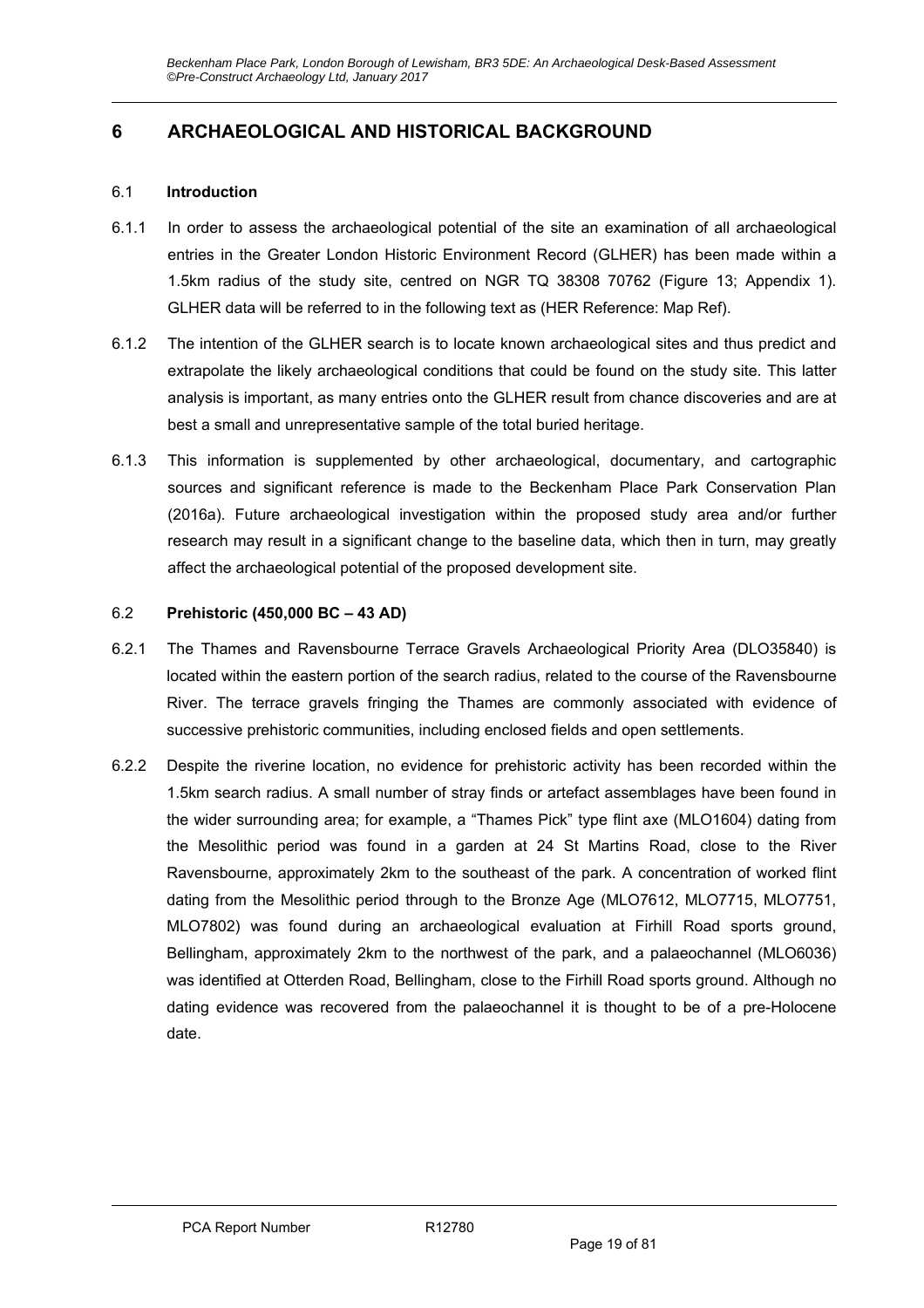# **6 ARCHAEOLOGICAL AND HISTORICAL BACKGROUND**

#### 6.1 **Introduction**

- 6.1.1 In order to assess the archaeological potential of the site an examination of all archaeological entries in the Greater London Historic Environment Record (GLHER) has been made within a 1.5km radius of the study site, centred on NGR TQ 38308 70762 (Figure 13; Appendix 1). GLHER data will be referred to in the following text as (HER Reference: Map Ref).
- 6.1.2 The intention of the GLHER search is to locate known archaeological sites and thus predict and extrapolate the likely archaeological conditions that could be found on the study site. This latter analysis is important, as many entries onto the GLHER result from chance discoveries and are at best a small and unrepresentative sample of the total buried heritage.
- 6.1.3 This information is supplemented by other archaeological, documentary, and cartographic sources and significant reference is made to the Beckenham Place Park Conservation Plan (2016a). Future archaeological investigation within the proposed study area and/or further research may result in a significant change to the baseline data, which then in turn, may greatly affect the archaeological potential of the proposed development site.

#### 6.2 **Prehistoric (450,000 BC – 43 AD)**

- 6.2.1 The Thames and Ravensbourne Terrace Gravels Archaeological Priority Area (DLO35840) is located within the eastern portion of the search radius, related to the course of the Ravensbourne River. The terrace gravels fringing the Thames are commonly associated with evidence of successive prehistoric communities, including enclosed fields and open settlements.
- 6.2.2 Despite the riverine location, no evidence for prehistoric activity has been recorded within the 1.5km search radius. A small number of stray finds or artefact assemblages have been found in the wider surrounding area; for example, a "Thames Pick" type flint axe (MLO1604) dating from the Mesolithic period was found in a garden at 24 St Martins Road, close to the River Ravensbourne, approximately 2km to the southeast of the park. A concentration of worked flint dating from the Mesolithic period through to the Bronze Age (MLO7612, MLO7715, MLO7751, MLO7802) was found during an archaeological evaluation at Firhill Road sports ground, Bellingham, approximately 2km to the northwest of the park, and a palaeochannel (MLO6036) was identified at Otterden Road, Bellingham, close to the Firhill Road sports ground. Although no dating evidence was recovered from the palaeochannel it is thought to be of a pre-Holocene date.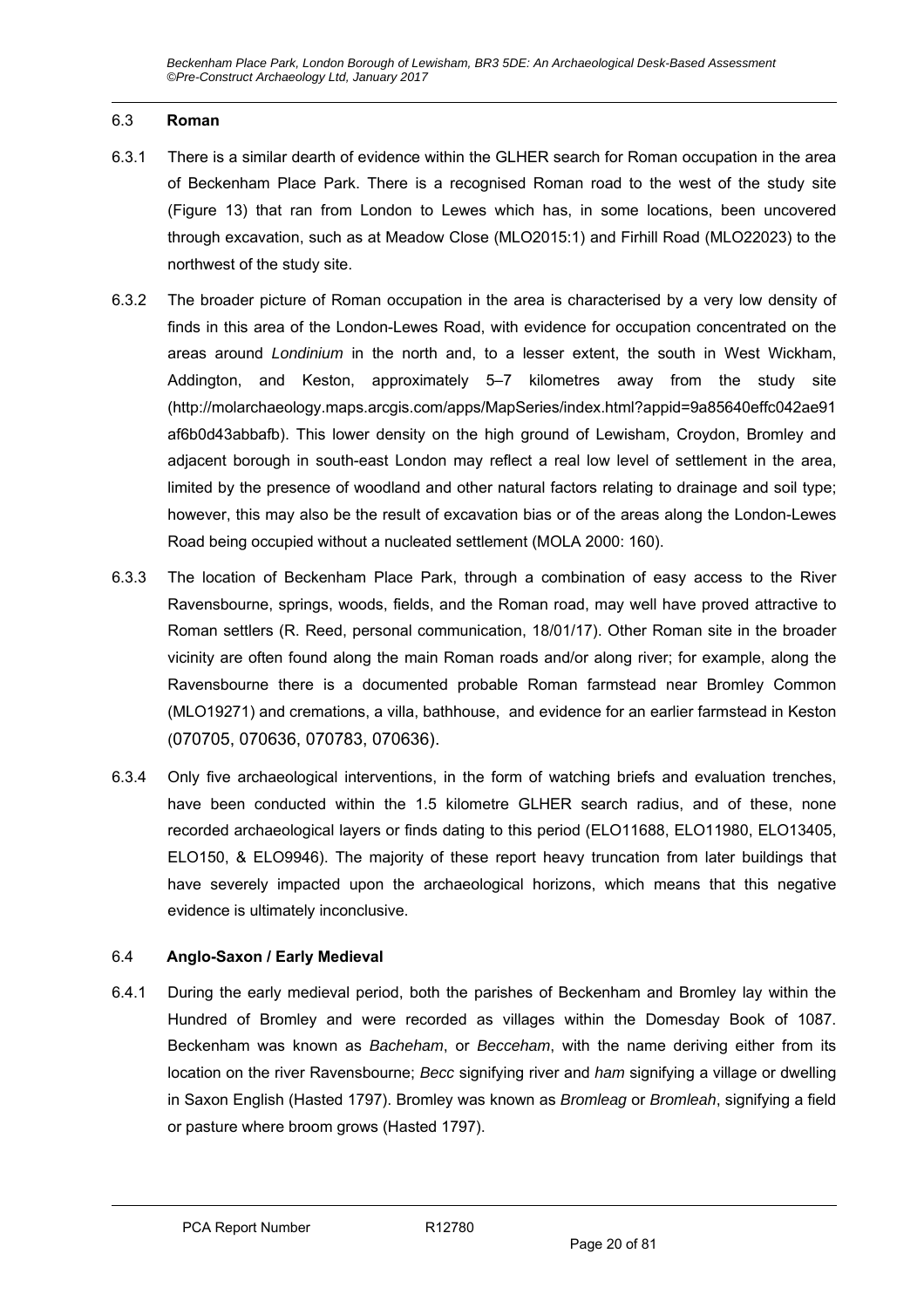#### 6.3 **Roman**

- 6.3.1 There is a similar dearth of evidence within the GLHER search for Roman occupation in the area of Beckenham Place Park. There is a recognised Roman road to the west of the study site (Figure 13) that ran from London to Lewes which has, in some locations, been uncovered through excavation, such as at Meadow Close (MLO2015:1) and Firhill Road (MLO22023) to the northwest of the study site.
- 6.3.2 The broader picture of Roman occupation in the area is characterised by a very low density of finds in this area of the London-Lewes Road, with evidence for occupation concentrated on the areas around *Londinium* in the north and, to a lesser extent, the south in West Wickham, Addington, and Keston, approximately 5–7 kilometres away from the study site (http://molarchaeology.maps.arcgis.com/apps/MapSeries/index.html?appid=9a85640effc042ae91 af6b0d43abbafb). This lower density on the high ground of Lewisham, Croydon, Bromley and adjacent borough in south-east London may reflect a real low level of settlement in the area, limited by the presence of woodland and other natural factors relating to drainage and soil type; however, this may also be the result of excavation bias or of the areas along the London-Lewes Road being occupied without a nucleated settlement (MOLA 2000: 160).
- 6.3.3 The location of Beckenham Place Park, through a combination of easy access to the River Ravensbourne, springs, woods, fields, and the Roman road, may well have proved attractive to Roman settlers (R. Reed, personal communication, 18/01/17). Other Roman site in the broader vicinity are often found along the main Roman roads and/or along river; for example, along the Ravensbourne there is a documented probable Roman farmstead near Bromley Common (MLO19271) and cremations, a villa, bathhouse, and evidence for an earlier farmstead in Keston (070705, 070636, 070783, 070636).
- 6.3.4 Only five archaeological interventions, in the form of watching briefs and evaluation trenches, have been conducted within the 1.5 kilometre GLHER search radius, and of these, none recorded archaeological layers or finds dating to this period (ELO11688, ELO11980, ELO13405, ELO150, & ELO9946). The majority of these report heavy truncation from later buildings that have severely impacted upon the archaeological horizons, which means that this negative evidence is ultimately inconclusive.

#### 6.4 **Anglo-Saxon / Early Medieval**

6.4.1 During the early medieval period, both the parishes of Beckenham and Bromley lay within the Hundred of Bromley and were recorded as villages within the Domesday Book of 1087. Beckenham was known as *Bacheham*, or *Becceham*, with the name deriving either from its location on the river Ravensbourne; *Becc* signifying river and *ham* signifying a village or dwelling in Saxon English (Hasted 1797). Bromley was known as *Bromleag* or *Bromleah*, signifying a field or pasture where broom grows (Hasted 1797).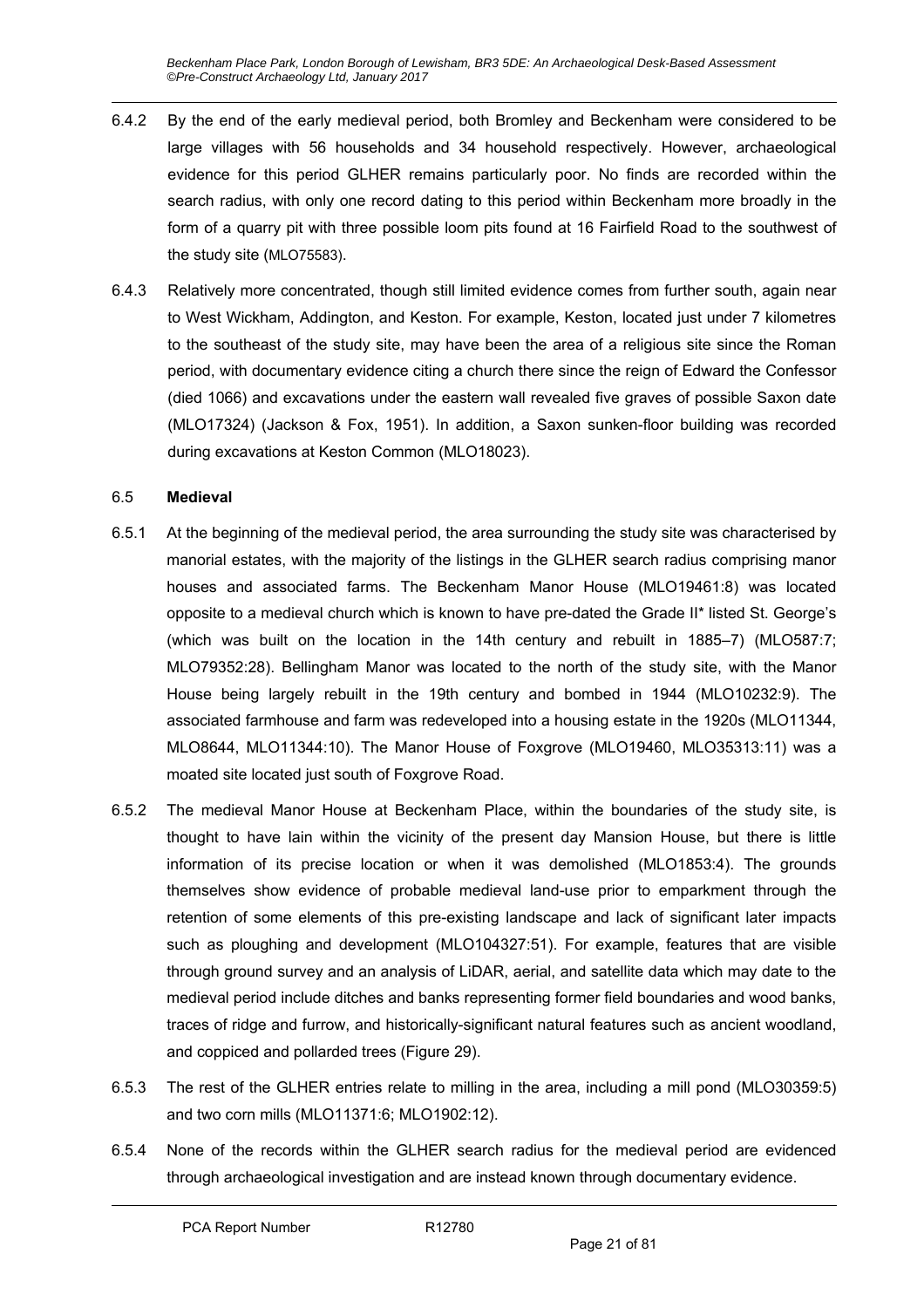*Beckenham Place Park, London Borough of Lewisham, BR3 5DE: An Archaeological Desk-Based Assessment ©Pre-Construct Archaeology Ltd, January 2017* 

- 6.4.2 By the end of the early medieval period, both Bromley and Beckenham were considered to be large villages with 56 households and 34 household respectively. However, archaeological evidence for this period GLHER remains particularly poor. No finds are recorded within the search radius, with only one record dating to this period within Beckenham more broadly in the form of a quarry pit with three possible loom pits found at 16 Fairfield Road to the southwest of the study site (MLO75583).
- 6.4.3 Relatively more concentrated, though still limited evidence comes from further south, again near to West Wickham, Addington, and Keston. For example, Keston, located just under 7 kilometres to the southeast of the study site, may have been the area of a religious site since the Roman period, with documentary evidence citing a church there since the reign of Edward the Confessor (died 1066) and excavations under the eastern wall revealed five graves of possible Saxon date (MLO17324) (Jackson & Fox, 1951). In addition, a Saxon sunken-floor building was recorded during excavations at Keston Common (MLO18023).

#### 6.5 **Medieval**

- 6.5.1 At the beginning of the medieval period, the area surrounding the study site was characterised by manorial estates, with the majority of the listings in the GLHER search radius comprising manor houses and associated farms. The Beckenham Manor House (MLO19461:8) was located opposite to a medieval church which is known to have pre-dated the Grade II\* listed St. George's (which was built on the location in the 14th century and rebuilt in 1885–7) (MLO587:7; MLO79352:28). Bellingham Manor was located to the north of the study site, with the Manor House being largely rebuilt in the 19th century and bombed in 1944 (MLO10232:9). The associated farmhouse and farm was redeveloped into a housing estate in the 1920s (MLO11344, MLO8644, MLO11344:10). The Manor House of Foxgrove (MLO19460, MLO35313:11) was a moated site located just south of Foxgrove Road.
- 6.5.2 The medieval Manor House at Beckenham Place, within the boundaries of the study site, is thought to have lain within the vicinity of the present day Mansion House, but there is little information of its precise location or when it was demolished (MLO1853:4). The grounds themselves show evidence of probable medieval land-use prior to emparkment through the retention of some elements of this pre-existing landscape and lack of significant later impacts such as ploughing and development (MLO104327:51). For example, features that are visible through ground survey and an analysis of LiDAR, aerial, and satellite data which may date to the medieval period include ditches and banks representing former field boundaries and wood banks, traces of ridge and furrow, and historically-significant natural features such as ancient woodland, and coppiced and pollarded trees (Figure 29).
- 6.5.3 The rest of the GLHER entries relate to milling in the area, including a mill pond (MLO30359:5) and two corn mills (MLO11371:6; MLO1902:12).
- 6.5.4 None of the records within the GLHER search radius for the medieval period are evidenced through archaeological investigation and are instead known through documentary evidence.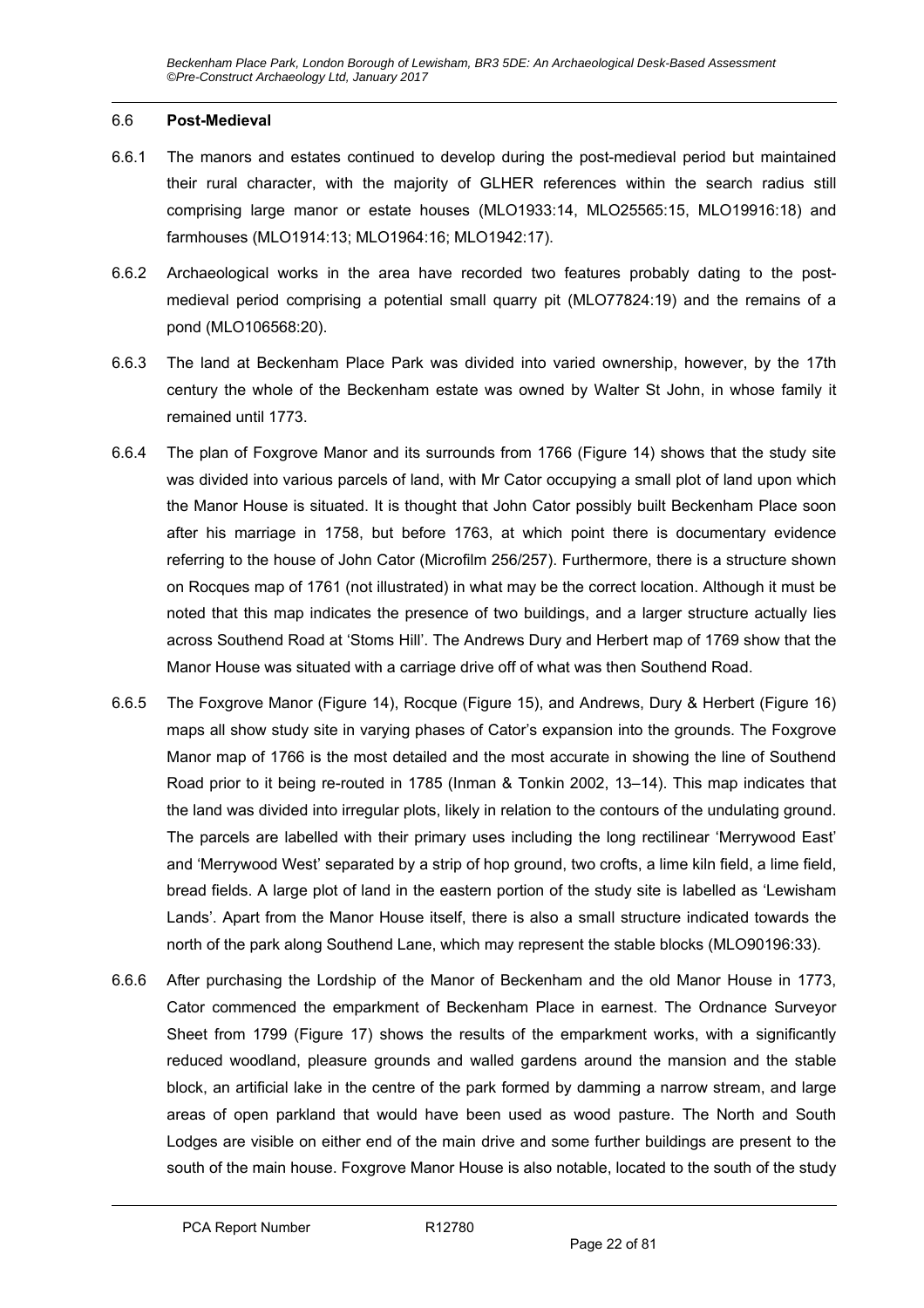#### 6.6 **Post-Medieval**

- 6.6.1 The manors and estates continued to develop during the post-medieval period but maintained their rural character, with the majority of GLHER references within the search radius still comprising large manor or estate houses (MLO1933:14, MLO25565:15, MLO19916:18) and farmhouses (MLO1914:13; MLO1964:16; MLO1942:17).
- 6.6.2 Archaeological works in the area have recorded two features probably dating to the postmedieval period comprising a potential small quarry pit (MLO77824:19) and the remains of a pond (MLO106568:20).
- 6.6.3 The land at Beckenham Place Park was divided into varied ownership, however, by the 17th century the whole of the Beckenham estate was owned by Walter St John, in whose family it remained until 1773.
- 6.6.4 The plan of Foxgrove Manor and its surrounds from 1766 (Figure 14) shows that the study site was divided into various parcels of land, with Mr Cator occupying a small plot of land upon which the Manor House is situated. It is thought that John Cator possibly built Beckenham Place soon after his marriage in 1758, but before 1763, at which point there is documentary evidence referring to the house of John Cator (Microfilm 256/257). Furthermore, there is a structure shown on Rocques map of 1761 (not illustrated) in what may be the correct location. Although it must be noted that this map indicates the presence of two buildings, and a larger structure actually lies across Southend Road at 'Stoms Hill'. The Andrews Dury and Herbert map of 1769 show that the Manor House was situated with a carriage drive off of what was then Southend Road.
- 6.6.5 The Foxgrove Manor (Figure 14), Rocque (Figure 15), and Andrews, Dury & Herbert (Figure 16) maps all show study site in varying phases of Cator's expansion into the grounds. The Foxgrove Manor map of 1766 is the most detailed and the most accurate in showing the line of Southend Road prior to it being re-routed in 1785 (Inman & Tonkin 2002, 13–14). This map indicates that the land was divided into irregular plots, likely in relation to the contours of the undulating ground. The parcels are labelled with their primary uses including the long rectilinear 'Merrywood East' and 'Merrywood West' separated by a strip of hop ground, two crofts, a lime kiln field, a lime field, bread fields. A large plot of land in the eastern portion of the study site is labelled as 'Lewisham Lands'. Apart from the Manor House itself, there is also a small structure indicated towards the north of the park along Southend Lane, which may represent the stable blocks (MLO90196:33).
- 6.6.6 After purchasing the Lordship of the Manor of Beckenham and the old Manor House in 1773, Cator commenced the emparkment of Beckenham Place in earnest. The Ordnance Surveyor Sheet from 1799 (Figure 17) shows the results of the emparkment works, with a significantly reduced woodland, pleasure grounds and walled gardens around the mansion and the stable block, an artificial lake in the centre of the park formed by damming a narrow stream, and large areas of open parkland that would have been used as wood pasture. The North and South Lodges are visible on either end of the main drive and some further buildings are present to the south of the main house. Foxgrove Manor House is also notable, located to the south of the study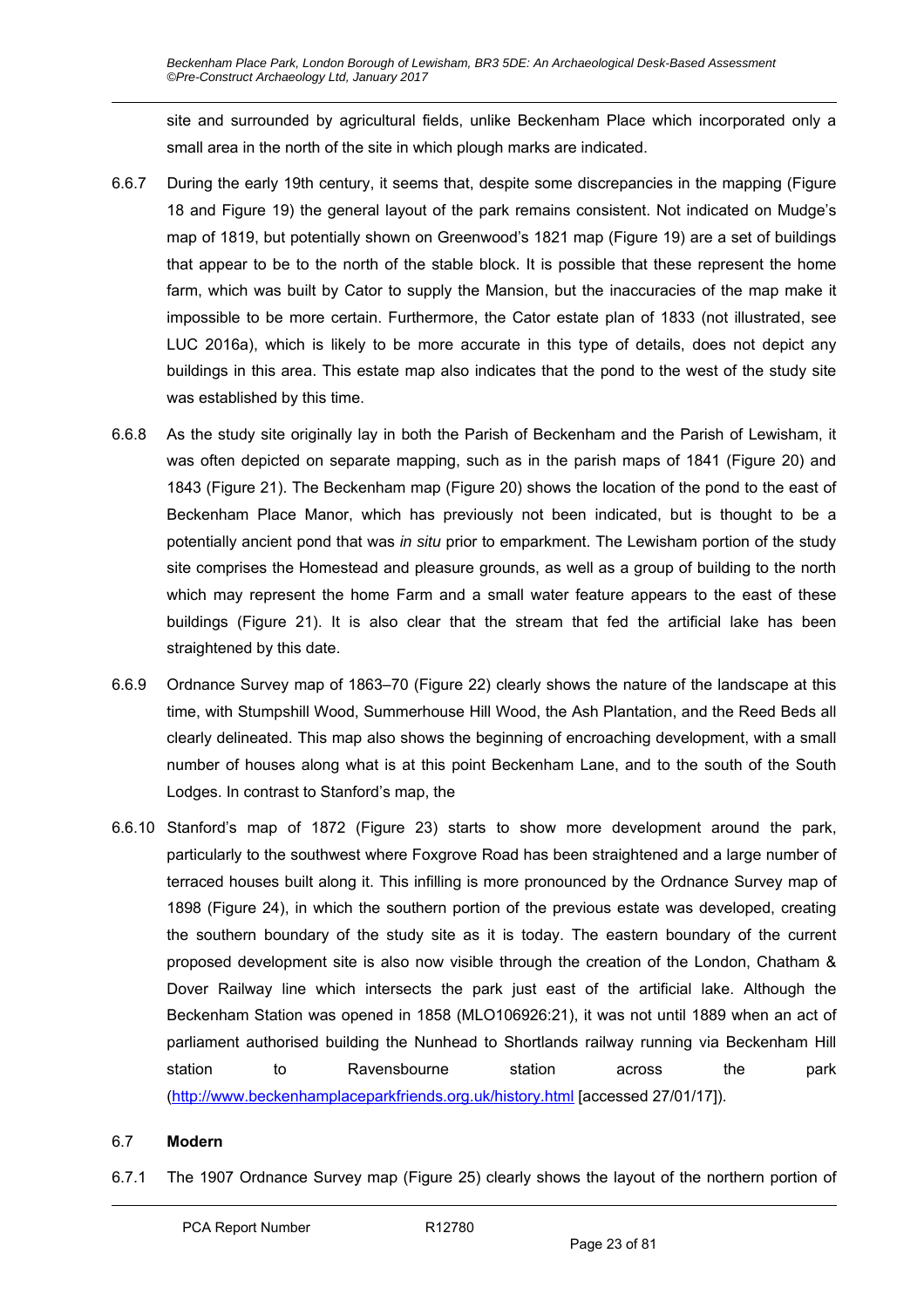site and surrounded by agricultural fields, unlike Beckenham Place which incorporated only a small area in the north of the site in which plough marks are indicated.

- 6.6.7 During the early 19th century, it seems that, despite some discrepancies in the mapping (Figure 18 and Figure 19) the general layout of the park remains consistent. Not indicated on Mudge's map of 1819, but potentially shown on Greenwood's 1821 map (Figure 19) are a set of buildings that appear to be to the north of the stable block. It is possible that these represent the home farm, which was built by Cator to supply the Mansion, but the inaccuracies of the map make it impossible to be more certain. Furthermore, the Cator estate plan of 1833 (not illustrated, see LUC 2016a), which is likely to be more accurate in this type of details, does not depict any buildings in this area. This estate map also indicates that the pond to the west of the study site was established by this time.
- 6.6.8 As the study site originally lay in both the Parish of Beckenham and the Parish of Lewisham, it was often depicted on separate mapping, such as in the parish maps of 1841 (Figure 20) and 1843 (Figure 21). The Beckenham map (Figure 20) shows the location of the pond to the east of Beckenham Place Manor, which has previously not been indicated, but is thought to be a potentially ancient pond that was *in situ* prior to emparkment. The Lewisham portion of the study site comprises the Homestead and pleasure grounds, as well as a group of building to the north which may represent the home Farm and a small water feature appears to the east of these buildings (Figure 21). It is also clear that the stream that fed the artificial lake has been straightened by this date.
- 6.6.9 Ordnance Survey map of 1863–70 (Figure 22) clearly shows the nature of the landscape at this time, with Stumpshill Wood, Summerhouse Hill Wood, the Ash Plantation, and the Reed Beds all clearly delineated. This map also shows the beginning of encroaching development, with a small number of houses along what is at this point Beckenham Lane, and to the south of the South Lodges. In contrast to Stanford's map, the
- 6.6.10 Stanford's map of 1872 (Figure 23) starts to show more development around the park, particularly to the southwest where Foxgrove Road has been straightened and a large number of terraced houses built along it. This infilling is more pronounced by the Ordnance Survey map of 1898 (Figure 24), in which the southern portion of the previous estate was developed, creating the southern boundary of the study site as it is today. The eastern boundary of the current proposed development site is also now visible through the creation of the London, Chatham & Dover Railway line which intersects the park just east of the artificial lake. Although the Beckenham Station was opened in 1858 (MLO106926:21), it was not until 1889 when an act of parliament authorised building the Nunhead to Shortlands railway running via Beckenham Hill station to Ravensbourne station across the park (http://www.beckenhamplaceparkfriends.org.uk/history.html [accessed 27/01/17]).

### 6.7 **Modern**

6.7.1 The 1907 Ordnance Survey map (Figure 25) clearly shows the layout of the northern portion of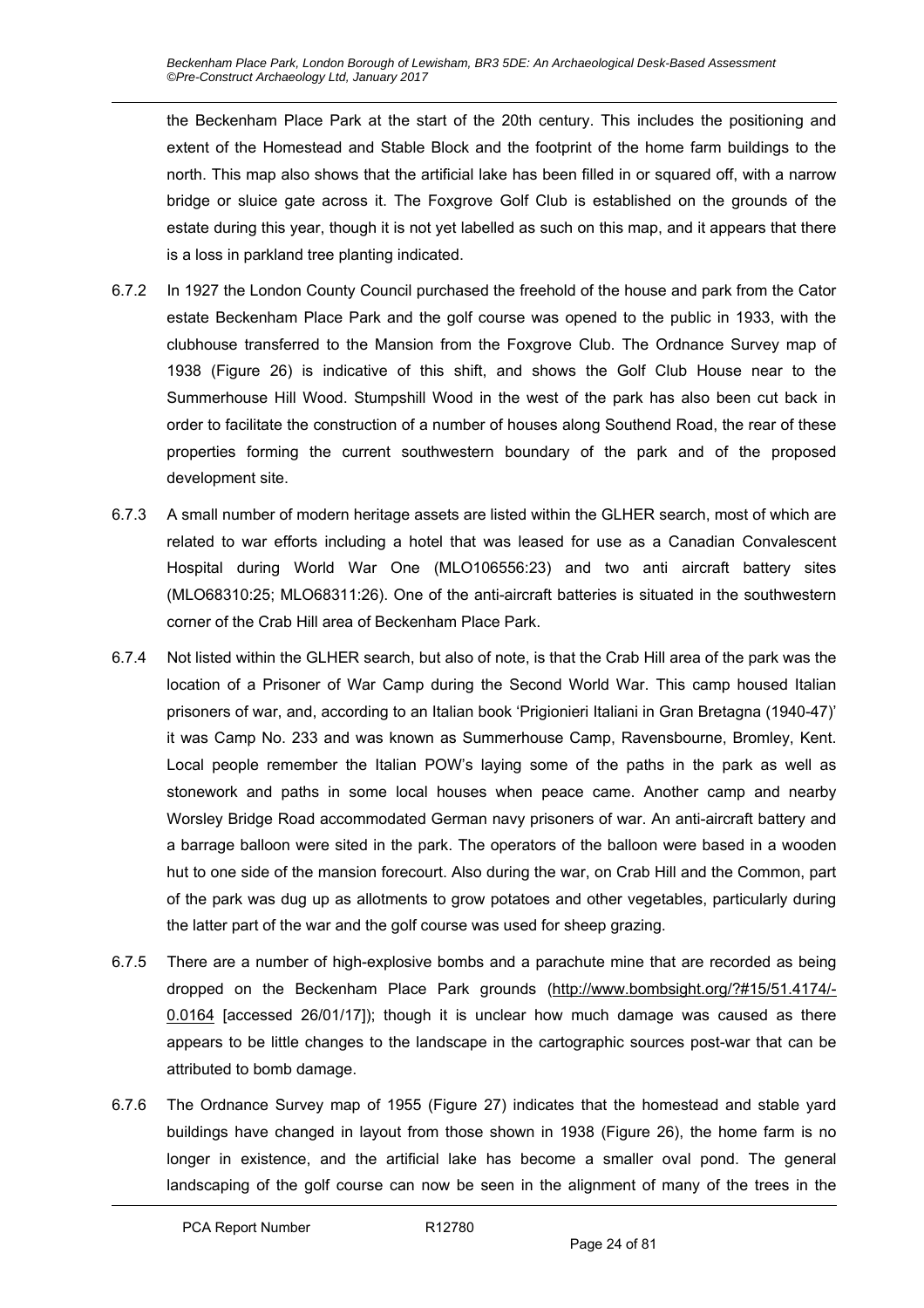the Beckenham Place Park at the start of the 20th century. This includes the positioning and extent of the Homestead and Stable Block and the footprint of the home farm buildings to the north. This map also shows that the artificial lake has been filled in or squared off, with a narrow bridge or sluice gate across it. The Foxgrove Golf Club is established on the grounds of the estate during this year, though it is not yet labelled as such on this map, and it appears that there is a loss in parkland tree planting indicated.

- 6.7.2 In 1927 the London County Council purchased the freehold of the house and park from the Cator estate Beckenham Place Park and the golf course was opened to the public in 1933, with the clubhouse transferred to the Mansion from the Foxgrove Club. The Ordnance Survey map of 1938 (Figure 26) is indicative of this shift, and shows the Golf Club House near to the Summerhouse Hill Wood. Stumpshill Wood in the west of the park has also been cut back in order to facilitate the construction of a number of houses along Southend Road, the rear of these properties forming the current southwestern boundary of the park and of the proposed development site.
- 6.7.3 A small number of modern heritage assets are listed within the GLHER search, most of which are related to war efforts including a hotel that was leased for use as a Canadian Convalescent Hospital during World War One (MLO106556:23) and two anti aircraft battery sites (MLO68310:25; MLO68311:26). One of the anti-aircraft batteries is situated in the southwestern corner of the Crab Hill area of Beckenham Place Park.
- 6.7.4 Not listed within the GLHER search, but also of note, is that the Crab Hill area of the park was the location of a Prisoner of War Camp during the Second World War. This camp housed Italian prisoners of war, and, according to an Italian book 'Prigionieri Italiani in Gran Bretagna (1940-47)' it was Camp No. 233 and was known as Summerhouse Camp, Ravensbourne, Bromley, Kent. Local people remember the Italian POW's laying some of the paths in the park as well as stonework and paths in some local houses when peace came. Another camp and nearby Worsley Bridge Road accommodated German navy prisoners of war. An anti-aircraft battery and a barrage balloon were sited in the park. The operators of the balloon were based in a wooden hut to one side of the mansion forecourt. Also during the war, on Crab Hill and the Common, part of the park was dug up as allotments to grow potatoes and other vegetables, particularly during the latter part of the war and the golf course was used for sheep grazing.
- 6.7.5 There are a number of high-explosive bombs and a parachute mine that are recorded as being dropped on the Beckenham Place Park grounds (http://www.bombsight.org/?#15/51.4174/- 0.0164 [accessed 26/01/17]); though it is unclear how much damage was caused as there appears to be little changes to the landscape in the cartographic sources post-war that can be attributed to bomb damage.
- 6.7.6 The Ordnance Survey map of 1955 (Figure 27) indicates that the homestead and stable yard buildings have changed in layout from those shown in 1938 (Figure 26), the home farm is no longer in existence, and the artificial lake has become a smaller oval pond. The general landscaping of the golf course can now be seen in the alignment of many of the trees in the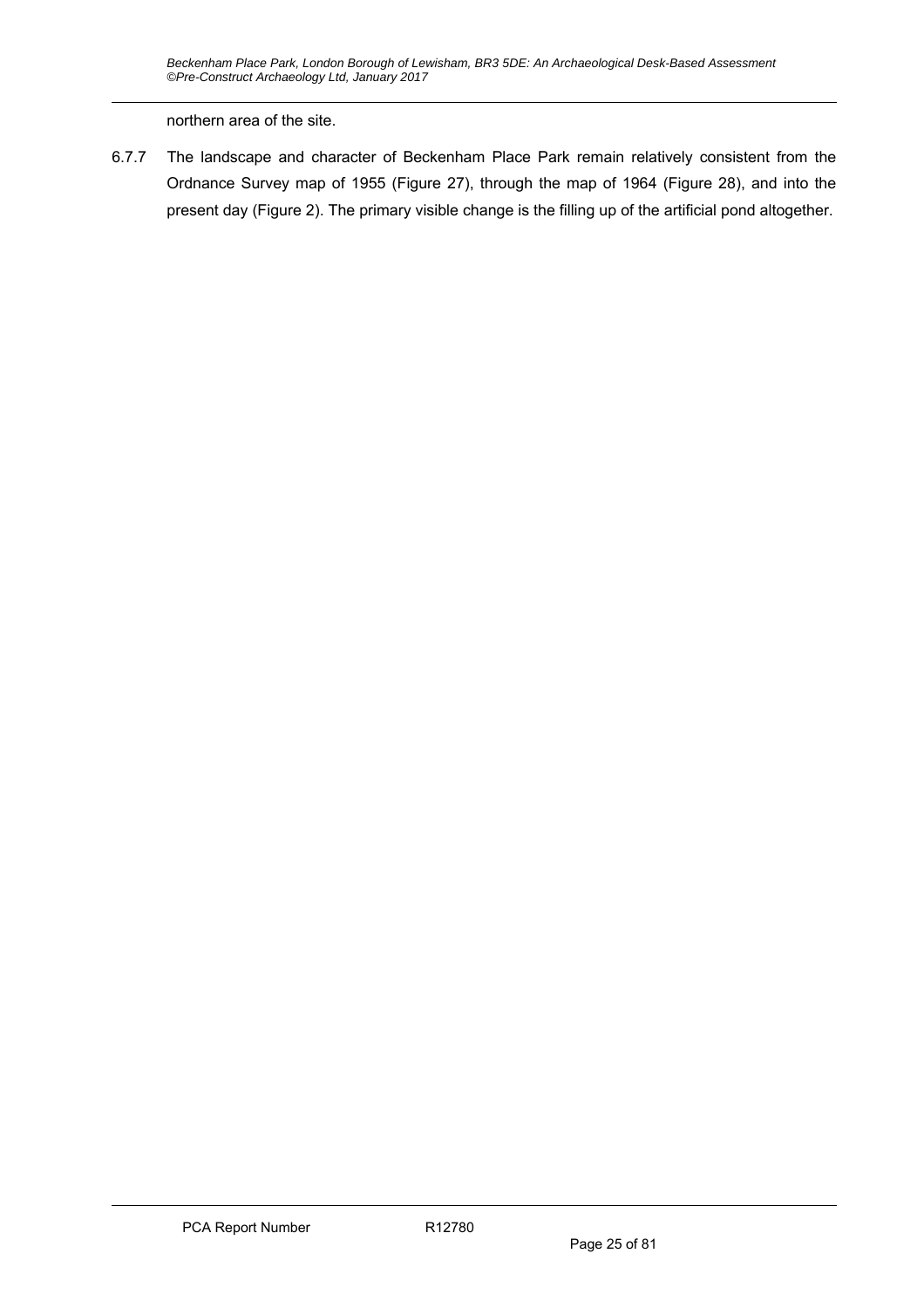northern area of the site.

6.7.7 The landscape and character of Beckenham Place Park remain relatively consistent from the Ordnance Survey map of 1955 (Figure 27), through the map of 1964 (Figure 28), and into the present day (Figure 2). The primary visible change is the filling up of the artificial pond altogether.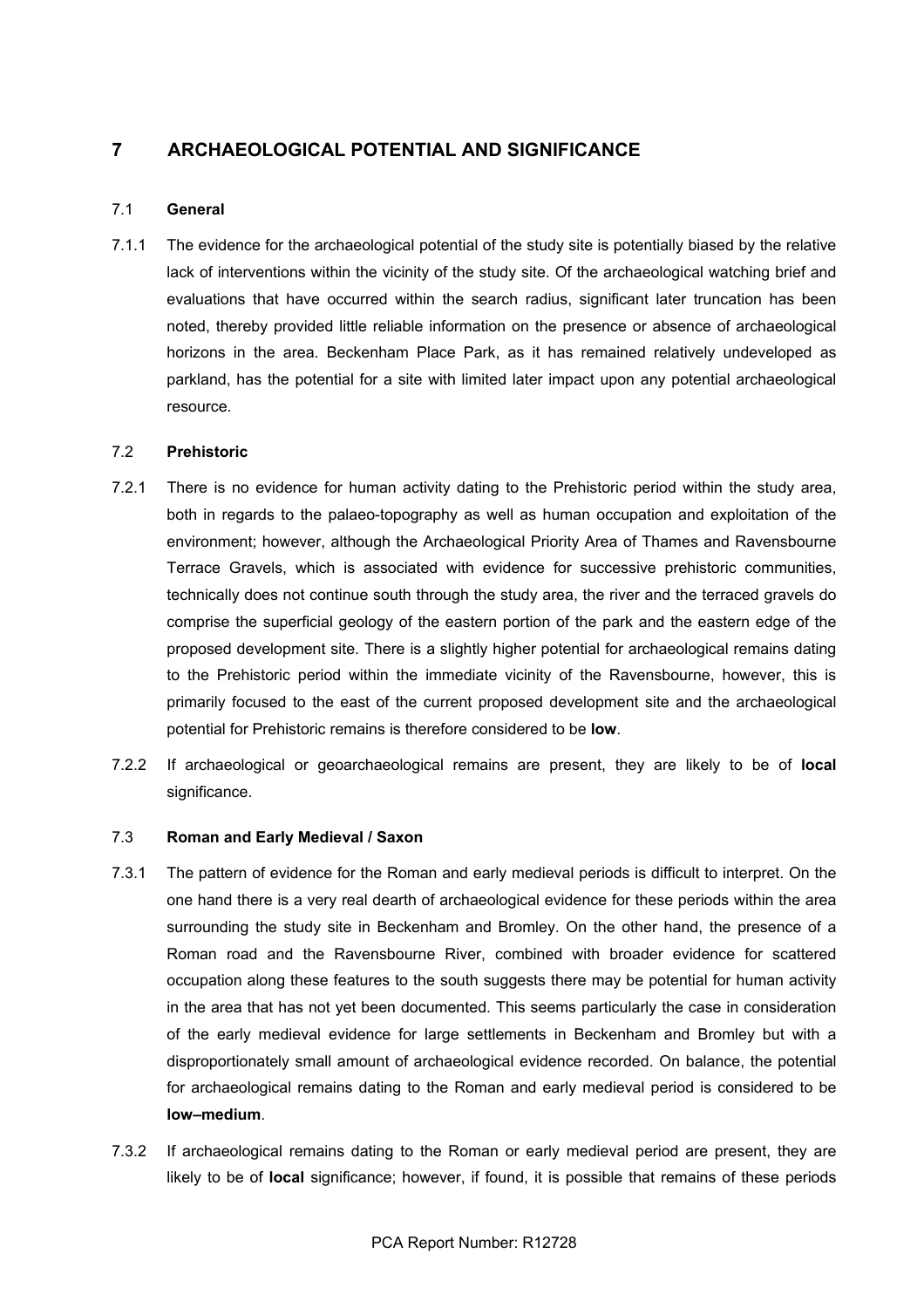# **7 ARCHAEOLOGICAL POTENTIAL AND SIGNIFICANCE**

#### 7.1 **General**

7.1.1 The evidence for the archaeological potential of the study site is potentially biased by the relative lack of interventions within the vicinity of the study site. Of the archaeological watching brief and evaluations that have occurred within the search radius, significant later truncation has been noted, thereby provided little reliable information on the presence or absence of archaeological horizons in the area. Beckenham Place Park, as it has remained relatively undeveloped as parkland, has the potential for a site with limited later impact upon any potential archaeological resource.

#### 7.2 **Prehistoric**

- 7.2.1 There is no evidence for human activity dating to the Prehistoric period within the study area, both in regards to the palaeo-topography as well as human occupation and exploitation of the environment; however, although the Archaeological Priority Area of Thames and Ravensbourne Terrace Gravels, which is associated with evidence for successive prehistoric communities, technically does not continue south through the study area, the river and the terraced gravels do comprise the superficial geology of the eastern portion of the park and the eastern edge of the proposed development site. There is a slightly higher potential for archaeological remains dating to the Prehistoric period within the immediate vicinity of the Ravensbourne, however, this is primarily focused to the east of the current proposed development site and the archaeological potential for Prehistoric remains is therefore considered to be **low**.
- 7.2.2 If archaeological or geoarchaeological remains are present, they are likely to be of **local** significance.

#### 7.3 **Roman and Early Medieval / Saxon**

- 7.3.1 The pattern of evidence for the Roman and early medieval periods is difficult to interpret. On the one hand there is a very real dearth of archaeological evidence for these periods within the area surrounding the study site in Beckenham and Bromley. On the other hand, the presence of a Roman road and the Ravensbourne River, combined with broader evidence for scattered occupation along these features to the south suggests there may be potential for human activity in the area that has not yet been documented. This seems particularly the case in consideration of the early medieval evidence for large settlements in Beckenham and Bromley but with a disproportionately small amount of archaeological evidence recorded. On balance, the potential for archaeological remains dating to the Roman and early medieval period is considered to be **low–medium**.
- 7.3.2 If archaeological remains dating to the Roman or early medieval period are present, they are likely to be of **local** significance; however, if found, it is possible that remains of these periods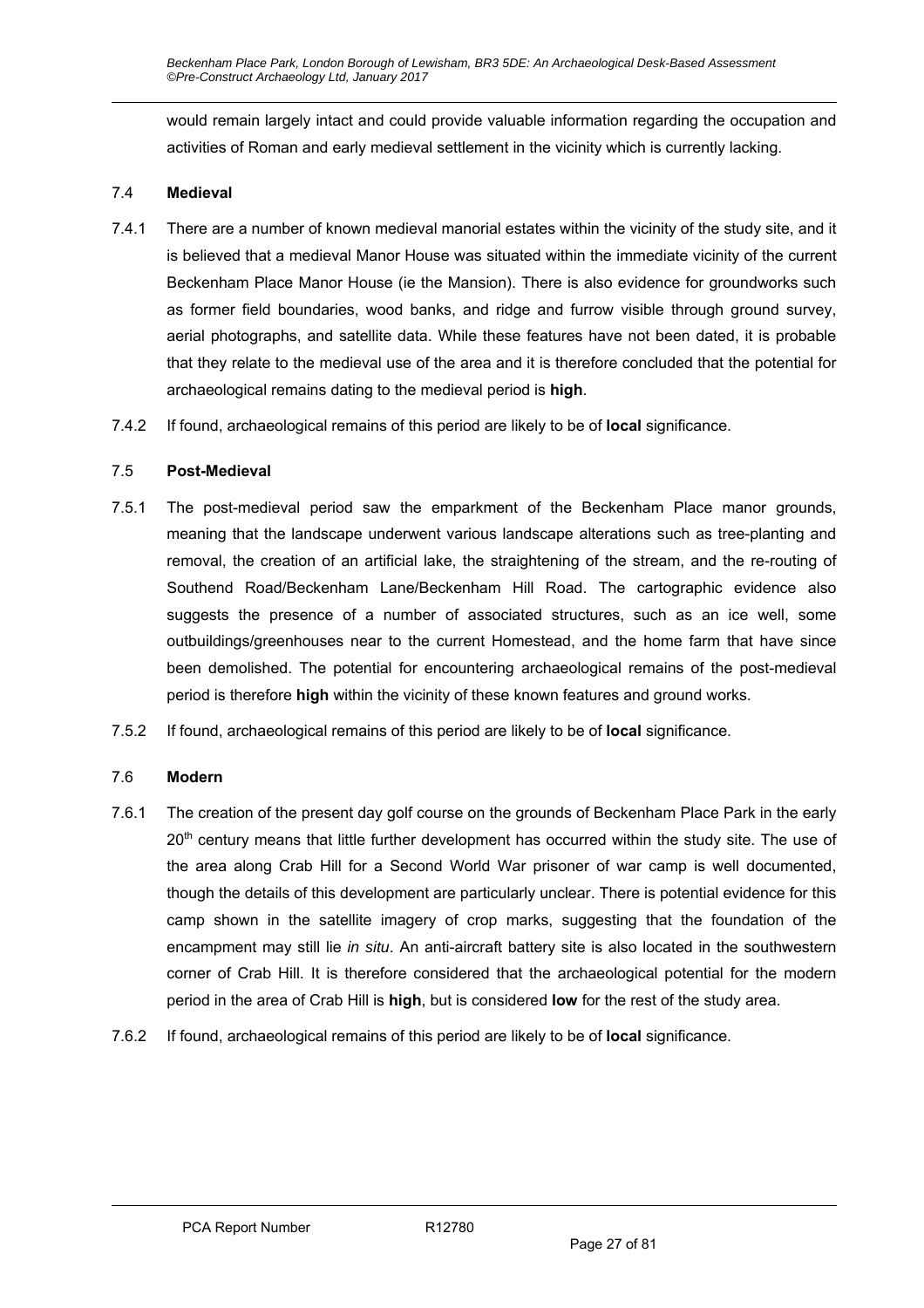would remain largely intact and could provide valuable information regarding the occupation and activities of Roman and early medieval settlement in the vicinity which is currently lacking.

### 7.4 **Medieval**

- 7.4.1 There are a number of known medieval manorial estates within the vicinity of the study site, and it is believed that a medieval Manor House was situated within the immediate vicinity of the current Beckenham Place Manor House (ie the Mansion). There is also evidence for groundworks such as former field boundaries, wood banks, and ridge and furrow visible through ground survey, aerial photographs, and satellite data. While these features have not been dated, it is probable that they relate to the medieval use of the area and it is therefore concluded that the potential for archaeological remains dating to the medieval period is **high**.
- 7.4.2 If found, archaeological remains of this period are likely to be of **local** significance.

### 7.5 **Post-Medieval**

- 7.5.1 The post-medieval period saw the emparkment of the Beckenham Place manor grounds, meaning that the landscape underwent various landscape alterations such as tree-planting and removal, the creation of an artificial lake, the straightening of the stream, and the re-routing of Southend Road/Beckenham Lane/Beckenham Hill Road. The cartographic evidence also suggests the presence of a number of associated structures, such as an ice well, some outbuildings/greenhouses near to the current Homestead, and the home farm that have since been demolished. The potential for encountering archaeological remains of the post-medieval period is therefore **high** within the vicinity of these known features and ground works.
- 7.5.2 If found, archaeological remains of this period are likely to be of **local** significance.

### 7.6 **Modern**

- 7.6.1 The creation of the present day golf course on the grounds of Beckenham Place Park in the early 20<sup>th</sup> century means that little further development has occurred within the study site. The use of the area along Crab Hill for a Second World War prisoner of war camp is well documented, though the details of this development are particularly unclear. There is potential evidence for this camp shown in the satellite imagery of crop marks, suggesting that the foundation of the encampment may still lie *in situ*. An anti-aircraft battery site is also located in the southwestern corner of Crab Hill. It is therefore considered that the archaeological potential for the modern period in the area of Crab Hill is **high**, but is considered **low** for the rest of the study area.
- 7.6.2 If found, archaeological remains of this period are likely to be of **local** significance.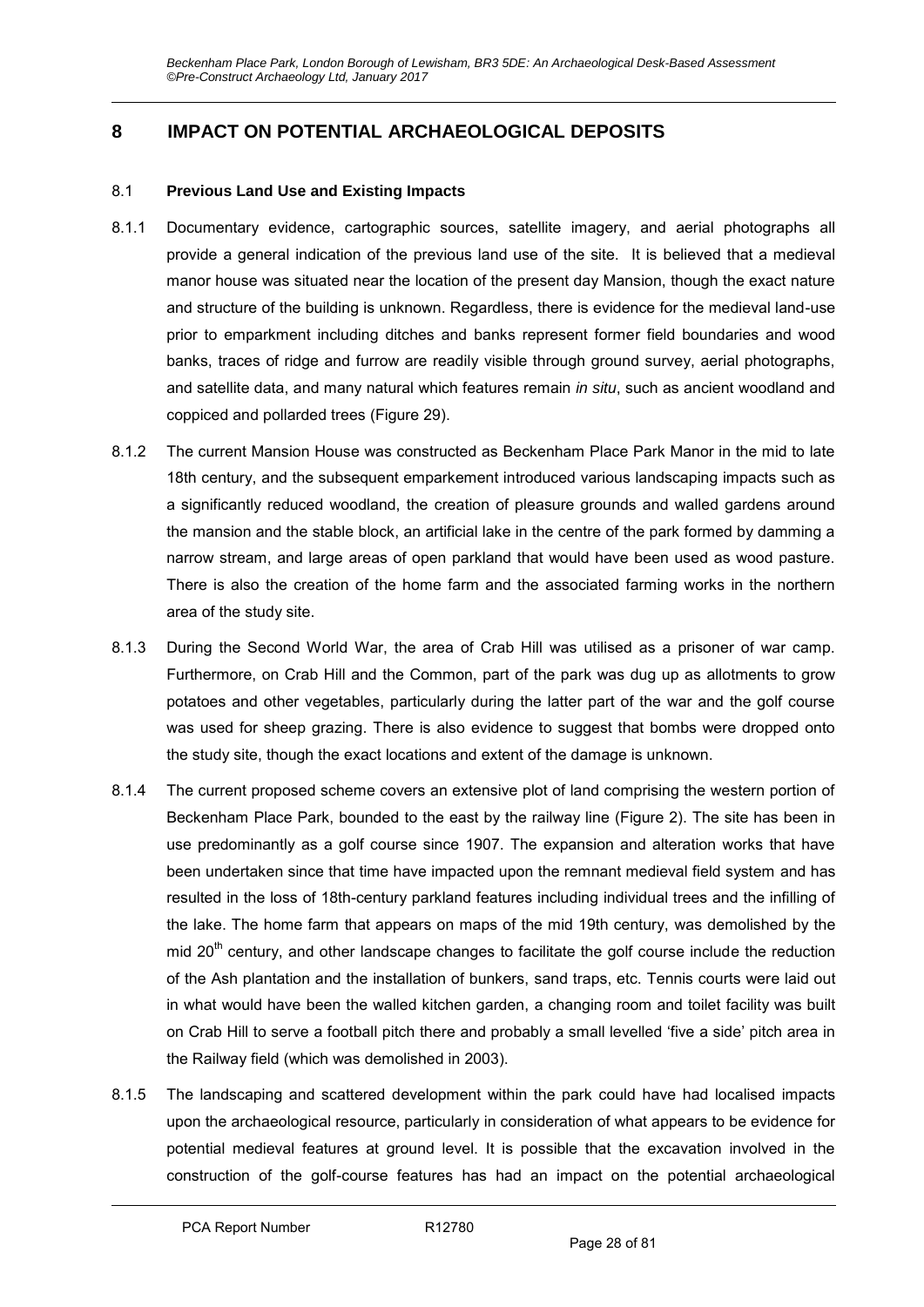# **8 IMPACT ON POTENTIAL ARCHAEOLOGICAL DEPOSITS**

#### 8.1 **Previous Land Use and Existing Impacts**

- 8.1.1 Documentary evidence, cartographic sources, satellite imagery, and aerial photographs all provide a general indication of the previous land use of the site. It is believed that a medieval manor house was situated near the location of the present day Mansion, though the exact nature and structure of the building is unknown. Regardless, there is evidence for the medieval land-use prior to emparkment including ditches and banks represent former field boundaries and wood banks, traces of ridge and furrow are readily visible through ground survey, aerial photographs, and satellite data, and many natural which features remain *in situ*, such as ancient woodland and coppiced and pollarded trees (Figure 29).
- 8.1.2 The current Mansion House was constructed as Beckenham Place Park Manor in the mid to late 18th century, and the subsequent emparkement introduced various landscaping impacts such as a significantly reduced woodland, the creation of pleasure grounds and walled gardens around the mansion and the stable block, an artificial lake in the centre of the park formed by damming a narrow stream, and large areas of open parkland that would have been used as wood pasture. There is also the creation of the home farm and the associated farming works in the northern area of the study site.
- 8.1.3 During the Second World War, the area of Crab Hill was utilised as a prisoner of war camp. Furthermore, on Crab Hill and the Common, part of the park was dug up as allotments to grow potatoes and other vegetables, particularly during the latter part of the war and the golf course was used for sheep grazing. There is also evidence to suggest that bombs were dropped onto the study site, though the exact locations and extent of the damage is unknown.
- 8.1.4 The current proposed scheme covers an extensive plot of land comprising the western portion of Beckenham Place Park, bounded to the east by the railway line (Figure 2). The site has been in use predominantly as a golf course since 1907. The expansion and alteration works that have been undertaken since that time have impacted upon the remnant medieval field system and has resulted in the loss of 18th-century parkland features including individual trees and the infilling of the lake. The home farm that appears on maps of the mid 19th century, was demolished by the mid  $20<sup>th</sup>$  century, and other landscape changes to facilitate the golf course include the reduction of the Ash plantation and the installation of bunkers, sand traps, etc. Tennis courts were laid out in what would have been the walled kitchen garden, a changing room and toilet facility was built on Crab Hill to serve a football pitch there and probably a small levelled 'five a side' pitch area in the Railway field (which was demolished in 2003).
- 8.1.5 The landscaping and scattered development within the park could have had localised impacts upon the archaeological resource, particularly in consideration of what appears to be evidence for potential medieval features at ground level. It is possible that the excavation involved in the construction of the golf-course features has had an impact on the potential archaeological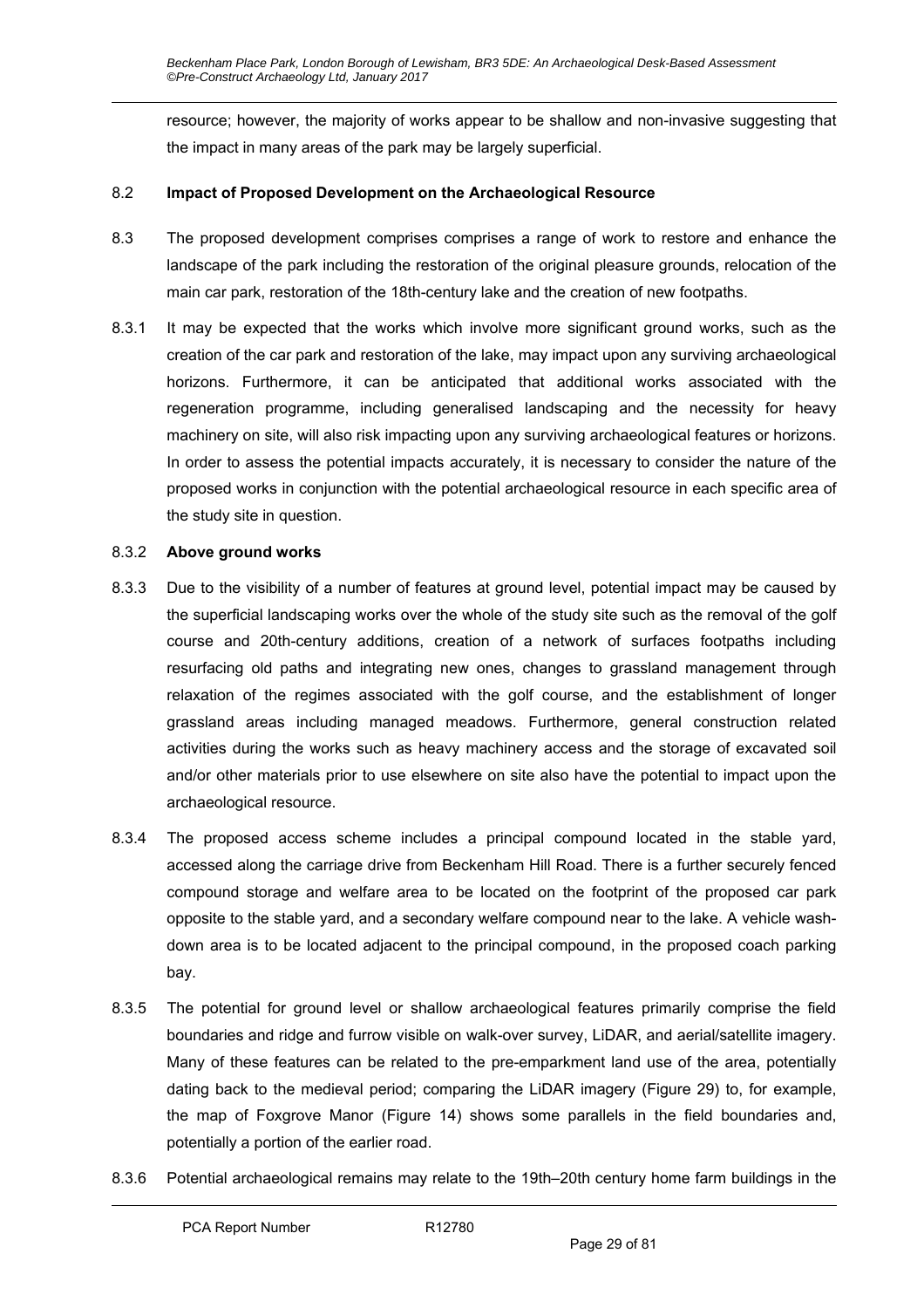resource; however, the majority of works appear to be shallow and non-invasive suggesting that the impact in many areas of the park may be largely superficial.

#### 8.2 **Impact of Proposed Development on the Archaeological Resource**

- 8.3 The proposed development comprises comprises a range of work to restore and enhance the landscape of the park including the restoration of the original pleasure grounds, relocation of the main car park, restoration of the 18th-century lake and the creation of new footpaths.
- 8.3.1 It may be expected that the works which involve more significant ground works, such as the creation of the car park and restoration of the lake, may impact upon any surviving archaeological horizons. Furthermore, it can be anticipated that additional works associated with the regeneration programme, including generalised landscaping and the necessity for heavy machinery on site, will also risk impacting upon any surviving archaeological features or horizons. In order to assess the potential impacts accurately, it is necessary to consider the nature of the proposed works in conjunction with the potential archaeological resource in each specific area of the study site in question.

#### 8.3.2 **Above ground works**

- 8.3.3 Due to the visibility of a number of features at ground level, potential impact may be caused by the superficial landscaping works over the whole of the study site such as the removal of the golf course and 20th-century additions, creation of a network of surfaces footpaths including resurfacing old paths and integrating new ones, changes to grassland management through relaxation of the regimes associated with the golf course, and the establishment of longer grassland areas including managed meadows. Furthermore, general construction related activities during the works such as heavy machinery access and the storage of excavated soil and/or other materials prior to use elsewhere on site also have the potential to impact upon the archaeological resource.
- 8.3.4 The proposed access scheme includes a principal compound located in the stable yard, accessed along the carriage drive from Beckenham Hill Road. There is a further securely fenced compound storage and welfare area to be located on the footprint of the proposed car park opposite to the stable yard, and a secondary welfare compound near to the lake. A vehicle washdown area is to be located adjacent to the principal compound, in the proposed coach parking bay.
- 8.3.5 The potential for ground level or shallow archaeological features primarily comprise the field boundaries and ridge and furrow visible on walk-over survey, LiDAR, and aerial/satellite imagery. Many of these features can be related to the pre-emparkment land use of the area, potentially dating back to the medieval period; comparing the LiDAR imagery (Figure 29) to, for example, the map of Foxgrove Manor (Figure 14) shows some parallels in the field boundaries and, potentially a portion of the earlier road.
- 8.3.6 Potential archaeological remains may relate to the 19th–20th century home farm buildings in the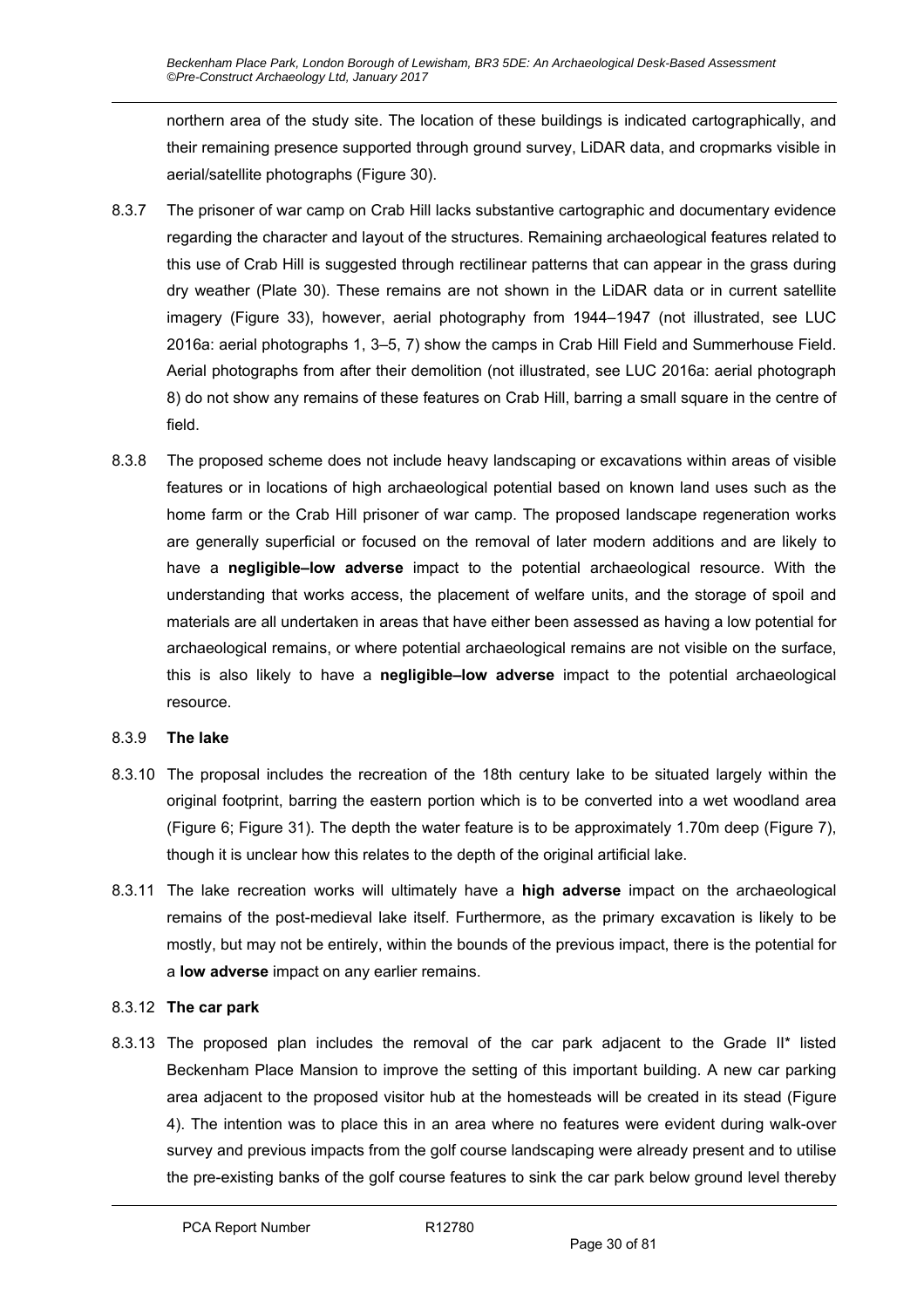northern area of the study site. The location of these buildings is indicated cartographically, and their remaining presence supported through ground survey, LiDAR data, and cropmarks visible in aerial/satellite photographs (Figure 30).

- 8.3.7 The prisoner of war camp on Crab Hill lacks substantive cartographic and documentary evidence regarding the character and layout of the structures. Remaining archaeological features related to this use of Crab Hill is suggested through rectilinear patterns that can appear in the grass during dry weather (Plate 30). These remains are not shown in the LiDAR data or in current satellite imagery (Figure 33), however, aerial photography from 1944–1947 (not illustrated, see LUC 2016a: aerial photographs 1, 3–5, 7) show the camps in Crab Hill Field and Summerhouse Field. Aerial photographs from after their demolition (not illustrated, see LUC 2016a: aerial photograph 8) do not show any remains of these features on Crab Hill, barring a small square in the centre of field.
- 8.3.8 The proposed scheme does not include heavy landscaping or excavations within areas of visible features or in locations of high archaeological potential based on known land uses such as the home farm or the Crab Hill prisoner of war camp. The proposed landscape regeneration works are generally superficial or focused on the removal of later modern additions and are likely to have a **negligible–low adverse** impact to the potential archaeological resource. With the understanding that works access, the placement of welfare units, and the storage of spoil and materials are all undertaken in areas that have either been assessed as having a low potential for archaeological remains, or where potential archaeological remains are not visible on the surface, this is also likely to have a **negligible–low adverse** impact to the potential archaeological resource.

### 8.3.9 **The lake**

- 8.3.10 The proposal includes the recreation of the 18th century lake to be situated largely within the original footprint, barring the eastern portion which is to be converted into a wet woodland area (Figure 6; Figure 31). The depth the water feature is to be approximately 1.70m deep (Figure 7), though it is unclear how this relates to the depth of the original artificial lake.
- 8.3.11 The lake recreation works will ultimately have a **high adverse** impact on the archaeological remains of the post-medieval lake itself. Furthermore, as the primary excavation is likely to be mostly, but may not be entirely, within the bounds of the previous impact, there is the potential for a **low adverse** impact on any earlier remains.

### 8.3.12 **The car park**

8.3.13 The proposed plan includes the removal of the car park adjacent to the Grade II\* listed Beckenham Place Mansion to improve the setting of this important building. A new car parking area adjacent to the proposed visitor hub at the homesteads will be created in its stead (Figure 4). The intention was to place this in an area where no features were evident during walk-over survey and previous impacts from the golf course landscaping were already present and to utilise the pre-existing banks of the golf course features to sink the car park below ground level thereby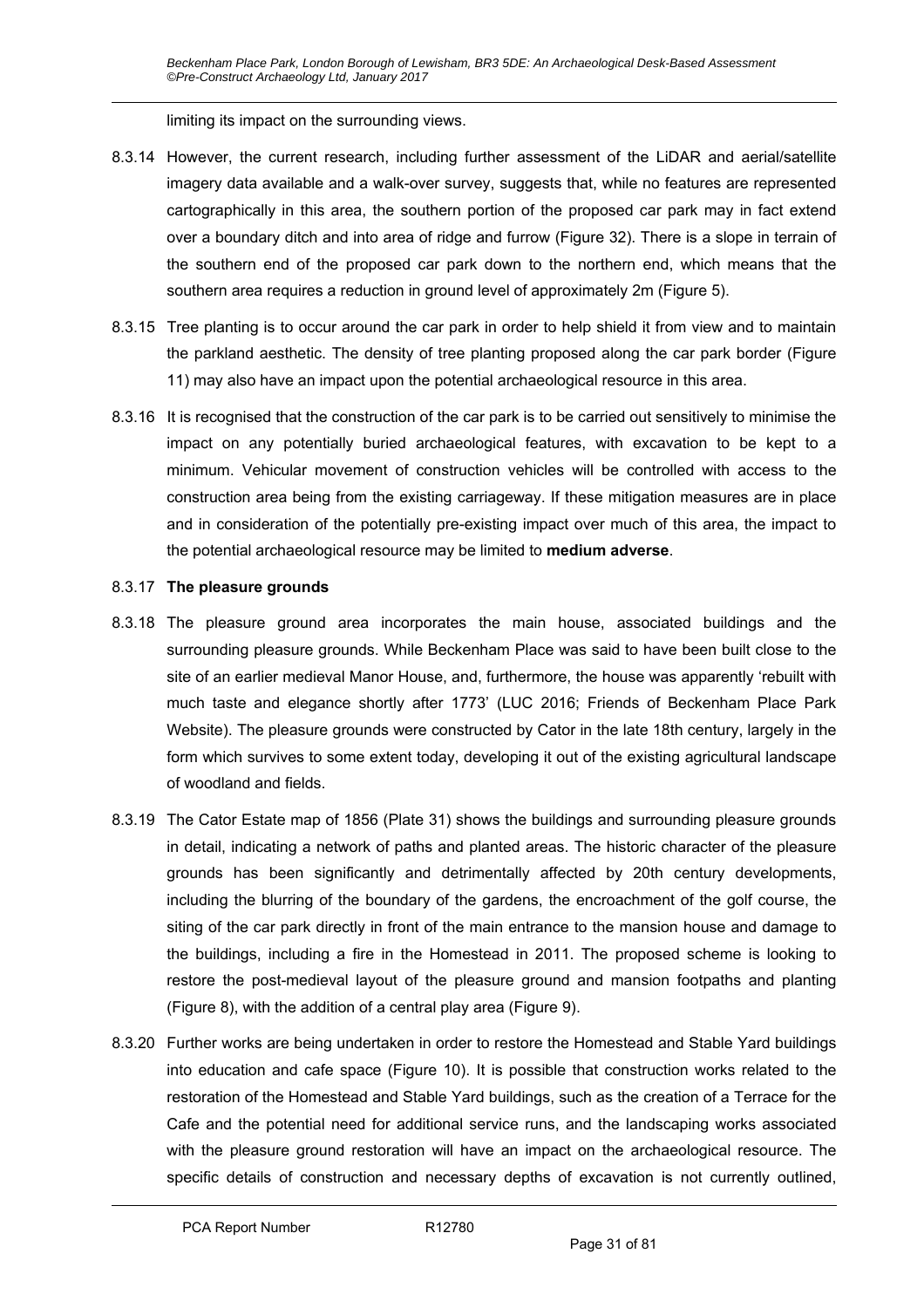limiting its impact on the surrounding views.

- 8.3.14 However, the current research, including further assessment of the LiDAR and aerial/satellite imagery data available and a walk-over survey, suggests that, while no features are represented cartographically in this area, the southern portion of the proposed car park may in fact extend over a boundary ditch and into area of ridge and furrow (Figure 32). There is a slope in terrain of the southern end of the proposed car park down to the northern end, which means that the southern area requires a reduction in ground level of approximately 2m (Figure 5).
- 8.3.15 Tree planting is to occur around the car park in order to help shield it from view and to maintain the parkland aesthetic. The density of tree planting proposed along the car park border (Figure 11) may also have an impact upon the potential archaeological resource in this area.
- 8.3.16 It is recognised that the construction of the car park is to be carried out sensitively to minimise the impact on any potentially buried archaeological features, with excavation to be kept to a minimum. Vehicular movement of construction vehicles will be controlled with access to the construction area being from the existing carriageway. If these mitigation measures are in place and in consideration of the potentially pre-existing impact over much of this area, the impact to the potential archaeological resource may be limited to **medium adverse**.

#### 8.3.17 **The pleasure grounds**

- 8.3.18 The pleasure ground area incorporates the main house, associated buildings and the surrounding pleasure grounds. While Beckenham Place was said to have been built close to the site of an earlier medieval Manor House, and, furthermore, the house was apparently 'rebuilt with much taste and elegance shortly after 1773' (LUC 2016; Friends of Beckenham Place Park Website). The pleasure grounds were constructed by Cator in the late 18th century, largely in the form which survives to some extent today, developing it out of the existing agricultural landscape of woodland and fields.
- 8.3.19 The Cator Estate map of 1856 (Plate 31) shows the buildings and surrounding pleasure grounds in detail, indicating a network of paths and planted areas. The historic character of the pleasure grounds has been significantly and detrimentally affected by 20th century developments, including the blurring of the boundary of the gardens, the encroachment of the golf course, the siting of the car park directly in front of the main entrance to the mansion house and damage to the buildings, including a fire in the Homestead in 2011. The proposed scheme is looking to restore the post-medieval layout of the pleasure ground and mansion footpaths and planting (Figure 8), with the addition of a central play area (Figure 9).
- 8.3.20 Further works are being undertaken in order to restore the Homestead and Stable Yard buildings into education and cafe space (Figure 10). It is possible that construction works related to the restoration of the Homestead and Stable Yard buildings, such as the creation of a Terrace for the Cafe and the potential need for additional service runs, and the landscaping works associated with the pleasure ground restoration will have an impact on the archaeological resource. The specific details of construction and necessary depths of excavation is not currently outlined,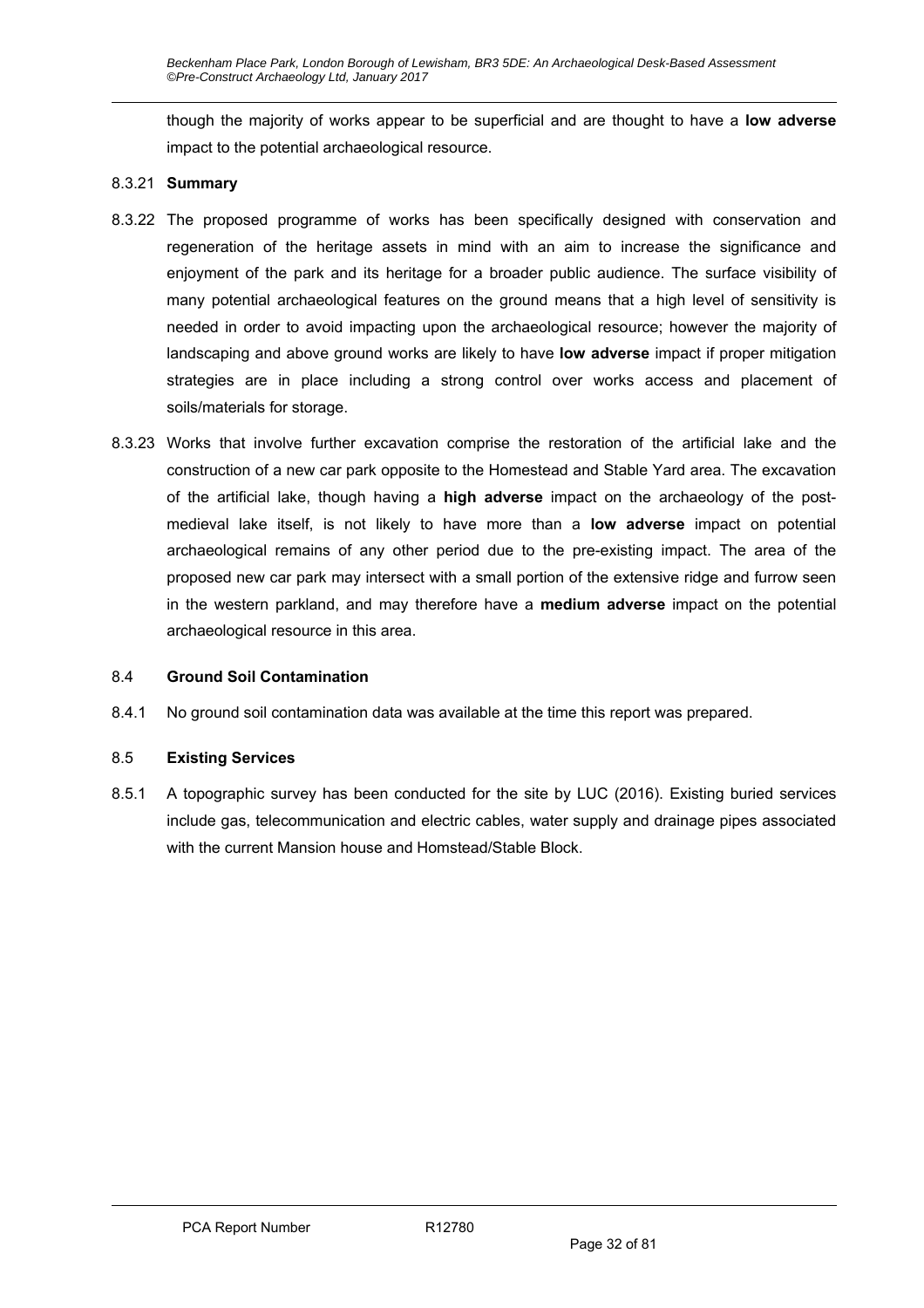though the majority of works appear to be superficial and are thought to have a **low adverse** impact to the potential archaeological resource.

#### 8.3.21 **Summary**

- 8.3.22 The proposed programme of works has been specifically designed with conservation and regeneration of the heritage assets in mind with an aim to increase the significance and enjoyment of the park and its heritage for a broader public audience. The surface visibility of many potential archaeological features on the ground means that a high level of sensitivity is needed in order to avoid impacting upon the archaeological resource; however the majority of landscaping and above ground works are likely to have **low adverse** impact if proper mitigation strategies are in place including a strong control over works access and placement of soils/materials for storage.
- 8.3.23 Works that involve further excavation comprise the restoration of the artificial lake and the construction of a new car park opposite to the Homestead and Stable Yard area. The excavation of the artificial lake, though having a **high adverse** impact on the archaeology of the postmedieval lake itself, is not likely to have more than a **low adverse** impact on potential archaeological remains of any other period due to the pre-existing impact. The area of the proposed new car park may intersect with a small portion of the extensive ridge and furrow seen in the western parkland, and may therefore have a **medium adverse** impact on the potential archaeological resource in this area.

#### 8.4 **Ground Soil Contamination**

8.4.1 No ground soil contamination data was available at the time this report was prepared.

#### 8.5 **Existing Services**

8.5.1 A topographic survey has been conducted for the site by LUC (2016). Existing buried services include gas, telecommunication and electric cables, water supply and drainage pipes associated with the current Mansion house and Homstead/Stable Block.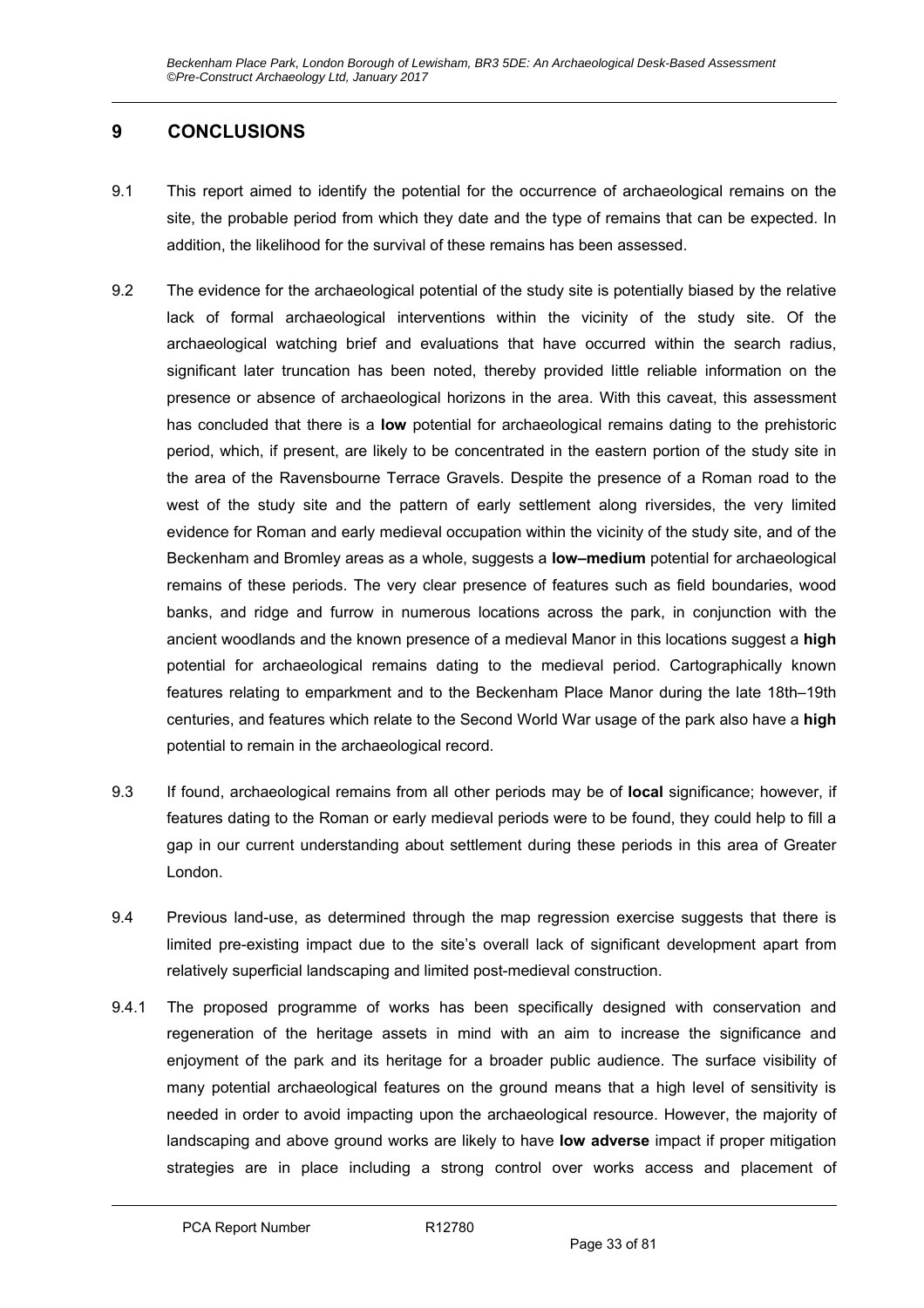# **9 CONCLUSIONS**

- 9.1 This report aimed to identify the potential for the occurrence of archaeological remains on the site, the probable period from which they date and the type of remains that can be expected. In addition, the likelihood for the survival of these remains has been assessed.
- 9.2 The evidence for the archaeological potential of the study site is potentially biased by the relative lack of formal archaeological interventions within the vicinity of the study site. Of the archaeological watching brief and evaluations that have occurred within the search radius, significant later truncation has been noted, thereby provided little reliable information on the presence or absence of archaeological horizons in the area. With this caveat, this assessment has concluded that there is a **low** potential for archaeological remains dating to the prehistoric period, which, if present, are likely to be concentrated in the eastern portion of the study site in the area of the Ravensbourne Terrace Gravels. Despite the presence of a Roman road to the west of the study site and the pattern of early settlement along riversides, the very limited evidence for Roman and early medieval occupation within the vicinity of the study site, and of the Beckenham and Bromley areas as a whole, suggests a **low–medium** potential for archaeological remains of these periods. The very clear presence of features such as field boundaries, wood banks, and ridge and furrow in numerous locations across the park, in conjunction with the ancient woodlands and the known presence of a medieval Manor in this locations suggest a **high**  potential for archaeological remains dating to the medieval period. Cartographically known features relating to emparkment and to the Beckenham Place Manor during the late 18th–19th centuries, and features which relate to the Second World War usage of the park also have a **high** potential to remain in the archaeological record.
- 9.3 If found, archaeological remains from all other periods may be of **local** significance; however, if features dating to the Roman or early medieval periods were to be found, they could help to fill a gap in our current understanding about settlement during these periods in this area of Greater London.
- 9.4 Previous land-use, as determined through the map regression exercise suggests that there is limited pre-existing impact due to the site's overall lack of significant development apart from relatively superficial landscaping and limited post-medieval construction.
- 9.4.1 The proposed programme of works has been specifically designed with conservation and regeneration of the heritage assets in mind with an aim to increase the significance and enjoyment of the park and its heritage for a broader public audience. The surface visibility of many potential archaeological features on the ground means that a high level of sensitivity is needed in order to avoid impacting upon the archaeological resource. However, the majority of landscaping and above ground works are likely to have **low adverse** impact if proper mitigation strategies are in place including a strong control over works access and placement of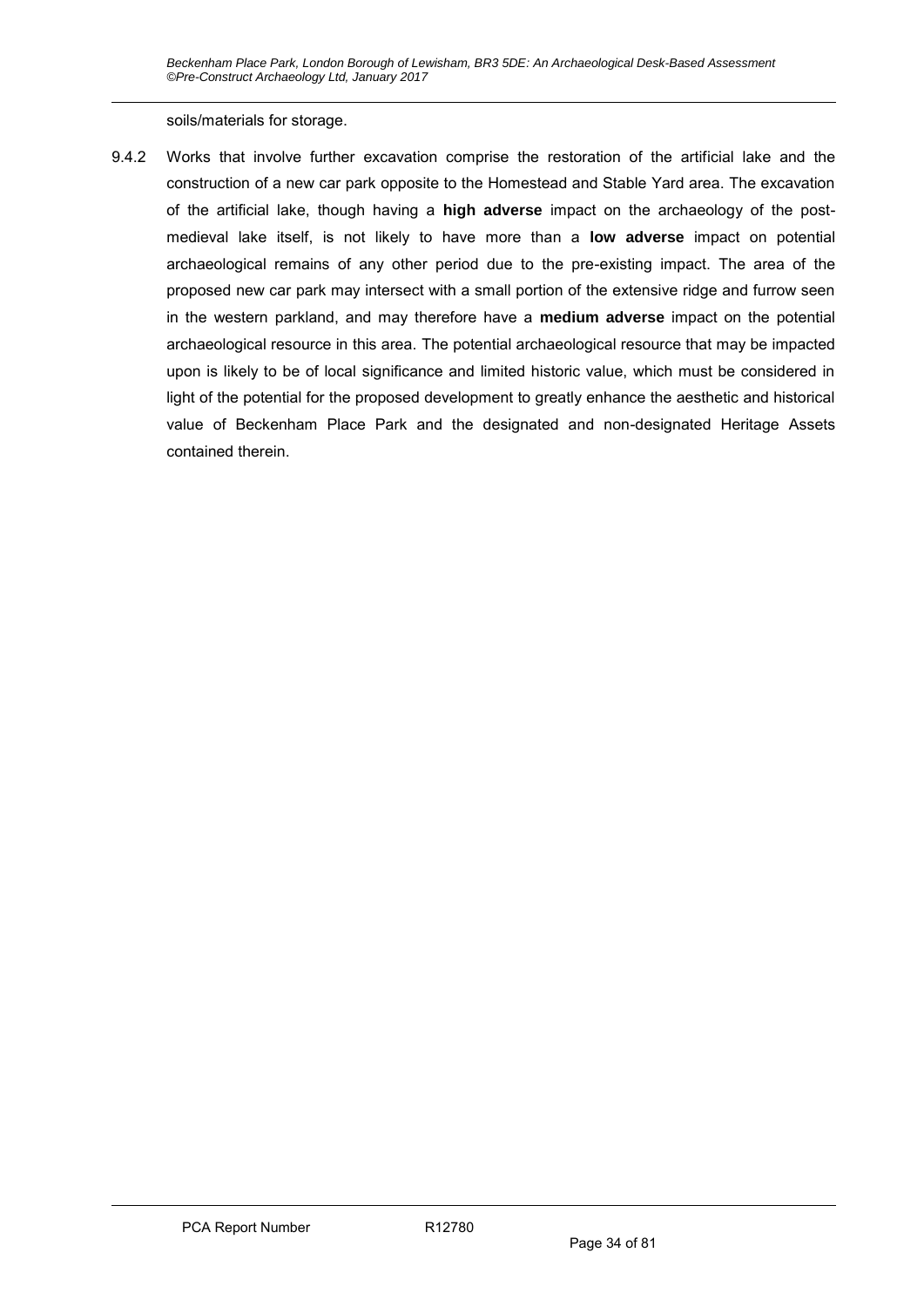soils/materials for storage.

9.4.2 Works that involve further excavation comprise the restoration of the artificial lake and the construction of a new car park opposite to the Homestead and Stable Yard area. The excavation of the artificial lake, though having a **high adverse** impact on the archaeology of the postmedieval lake itself, is not likely to have more than a **low adverse** impact on potential archaeological remains of any other period due to the pre-existing impact. The area of the proposed new car park may intersect with a small portion of the extensive ridge and furrow seen in the western parkland, and may therefore have a **medium adverse** impact on the potential archaeological resource in this area. The potential archaeological resource that may be impacted upon is likely to be of local significance and limited historic value, which must be considered in light of the potential for the proposed development to greatly enhance the aesthetic and historical value of Beckenham Place Park and the designated and non-designated Heritage Assets contained therein.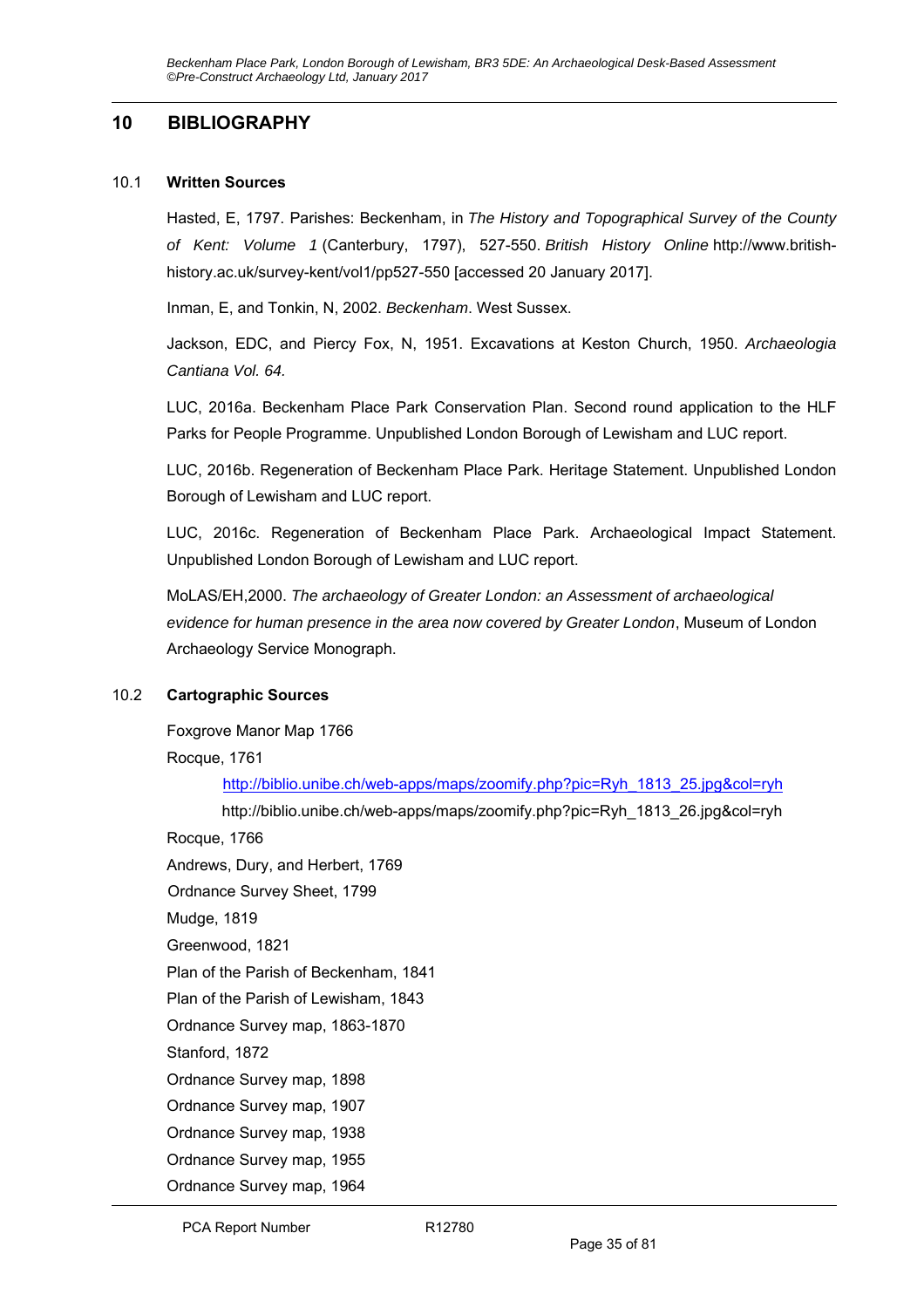### **10 BIBLIOGRAPHY**

#### 10.1 **Written Sources**

Hasted, E, 1797. Parishes: Beckenham, in *The History and Topographical Survey of the County of Kent: Volume 1* (Canterbury, 1797), 527-550. *British History Online* http://www.britishhistory.ac.uk/survey-kent/vol1/pp527-550 [accessed 20 January 2017].

Inman, E, and Tonkin, N, 2002. *Beckenham*. West Sussex.

Jackson, EDC, and Piercy Fox, N, 1951. Excavations at Keston Church, 1950. *Archaeologia Cantiana Vol. 64.* 

LUC, 2016a. Beckenham Place Park Conservation Plan. Second round application to the HLF Parks for People Programme. Unpublished London Borough of Lewisham and LUC report.

LUC, 2016b. Regeneration of Beckenham Place Park. Heritage Statement. Unpublished London Borough of Lewisham and LUC report.

LUC, 2016c. Regeneration of Beckenham Place Park. Archaeological Impact Statement. Unpublished London Borough of Lewisham and LUC report.

MoLAS/EH,2000. *The archaeology of Greater London: an Assessment of archaeological evidence for human presence in the area now covered by Greater London*, Museum of London Archaeology Service Monograph.

#### 10.2 **Cartographic Sources**

Foxgrove Manor Map 1766

Rocque, 1761

http://biblio.unibe.ch/web-apps/maps/zoomify.php?pic=Ryh\_1813\_25.jpg&col=ryh

http://biblio.unibe.ch/web-apps/maps/zoomify.php?pic=Ryh\_1813\_26.jpg&col=ryh Rocque, 1766

Andrews, Dury, and Herbert, 1769

Ordnance Survey Sheet, 1799

Mudge, 1819

Greenwood, 1821

Plan of the Parish of Beckenham, 1841

Plan of the Parish of Lewisham, 1843

Ordnance Survey map, 1863-1870

Stanford, 1872

Ordnance Survey map, 1898

Ordnance Survey map, 1907

Ordnance Survey map, 1938

Ordnance Survey map, 1955

Ordnance Survey map, 1964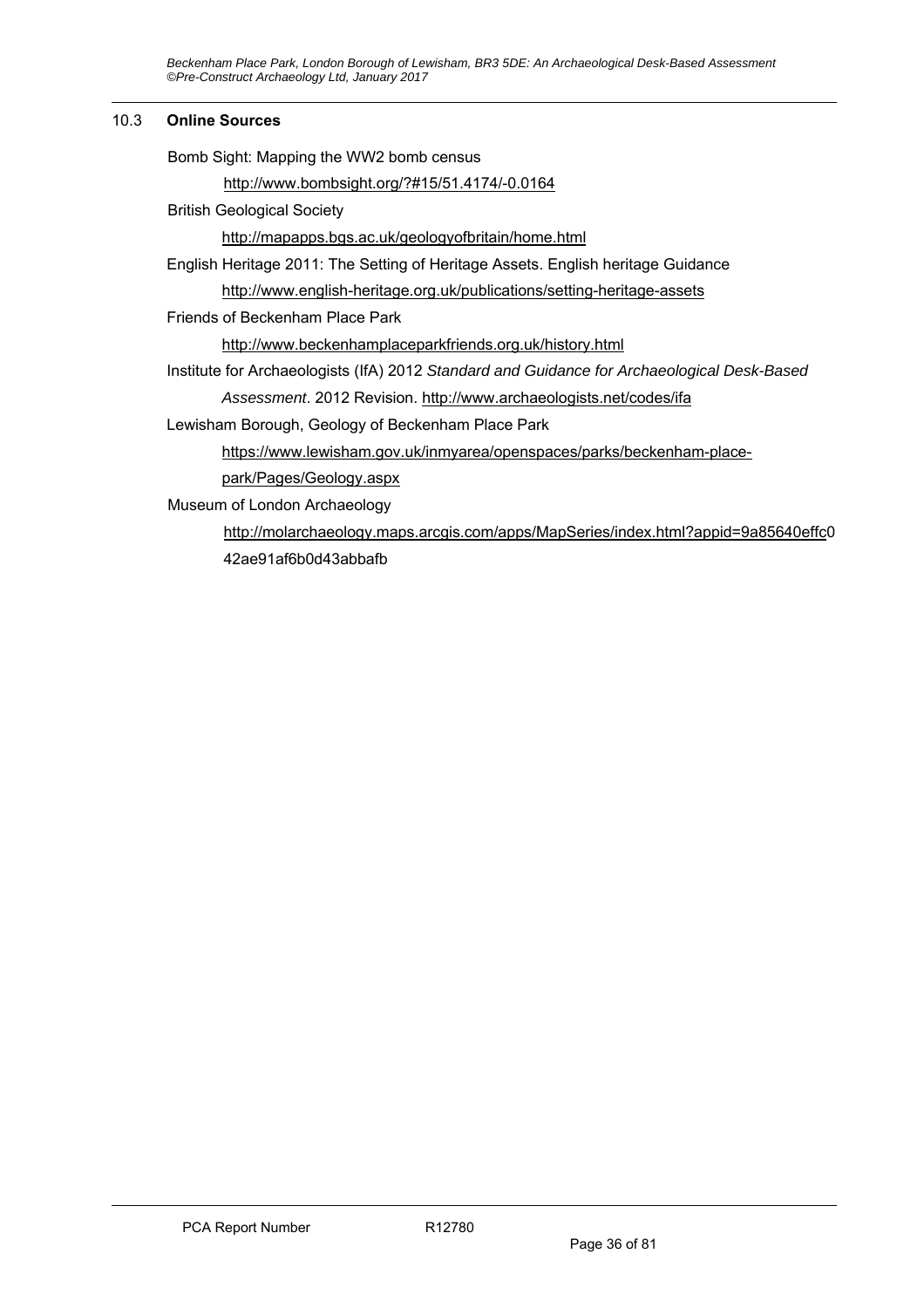*Beckenham Place Park, London Borough of Lewisham, BR3 5DE: An Archaeological Desk-Based Assessment ©Pre-Construct Archaeology Ltd, January 2017* 

#### 10.3 **Online Sources**

| Bomb Sight: Mapping the WW2 bomb census                                                     |
|---------------------------------------------------------------------------------------------|
| http://www.bombsight.org/?#15/51.4174/-0.0164                                               |
| <b>British Geological Society</b>                                                           |
| http://mapapps.bgs.ac.uk/geologyofbritain/home.html                                         |
| English Heritage 2011: The Setting of Heritage Assets. English heritage Guidance            |
| http://www.english-heritage.org.uk/publications/setting-heritage-assets                     |
| Friends of Beckenham Place Park                                                             |
| http://www.beckenhamplaceparkfriends.org.uk/history.html                                    |
| Institute for Archaeologists (IfA) 2012 Standard and Guidance for Archaeological Desk-Based |
| Assessment. 2012 Revision. http://www.archaeologists.net/codes/ifa                          |
| Lewisham Borough, Geology of Beckenham Place Park                                           |
| https://www.lewisham.gov.uk/inmyarea/openspaces/parks/beckenham-place-                      |
| park/Pages/Geology.aspx                                                                     |
| Museum of London Archaeology                                                                |
| http://molarchaeology.maps.arcgis.com/apps/MapSeries/index.html?appid=9a85640effc0          |

42ae91af6b0d43abbafb